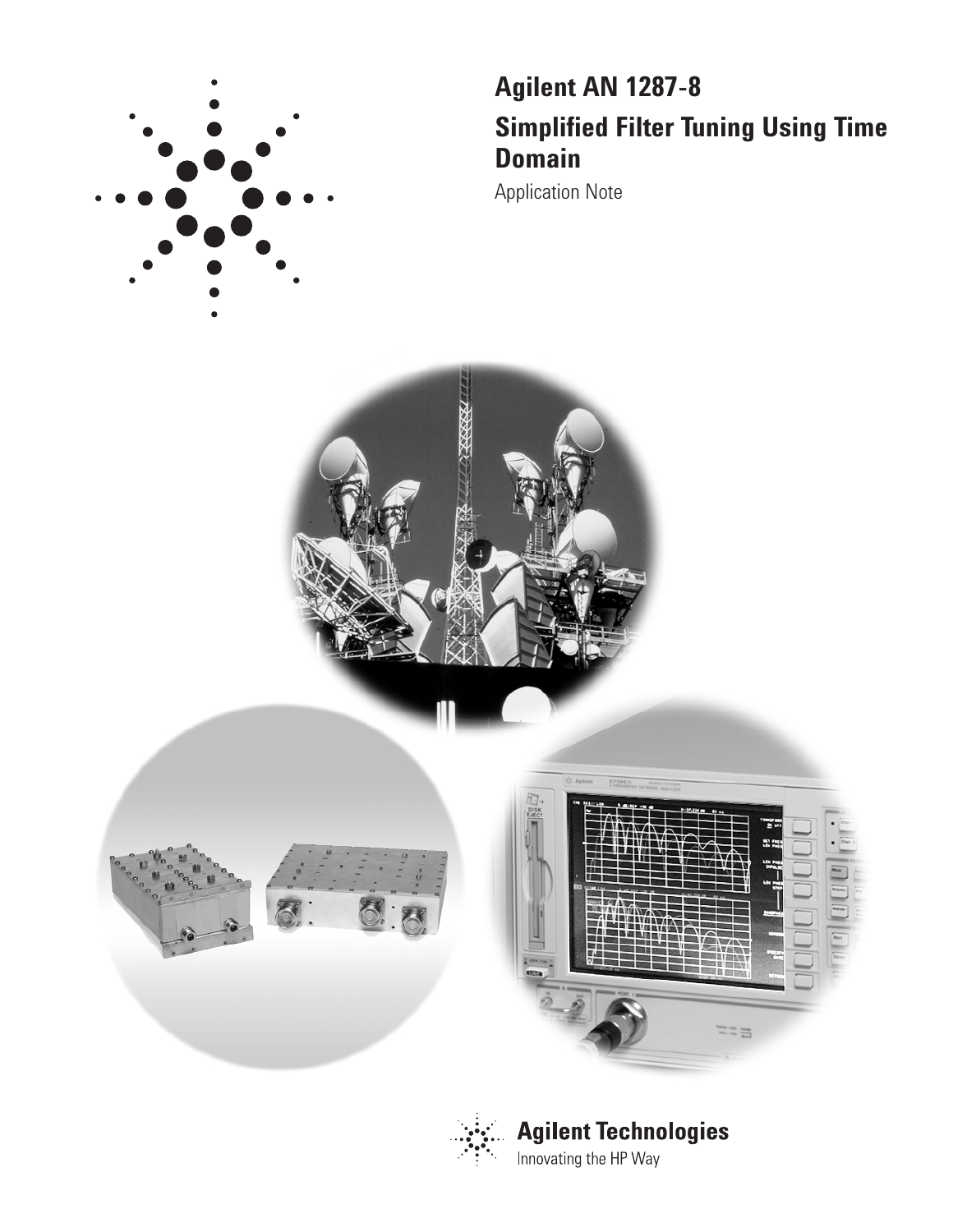

# **Agilent AN 1287-8 Simplified Filter Tuning Using Time Domain**

Application Note





**Agilent Technologies** Innovating the HP Way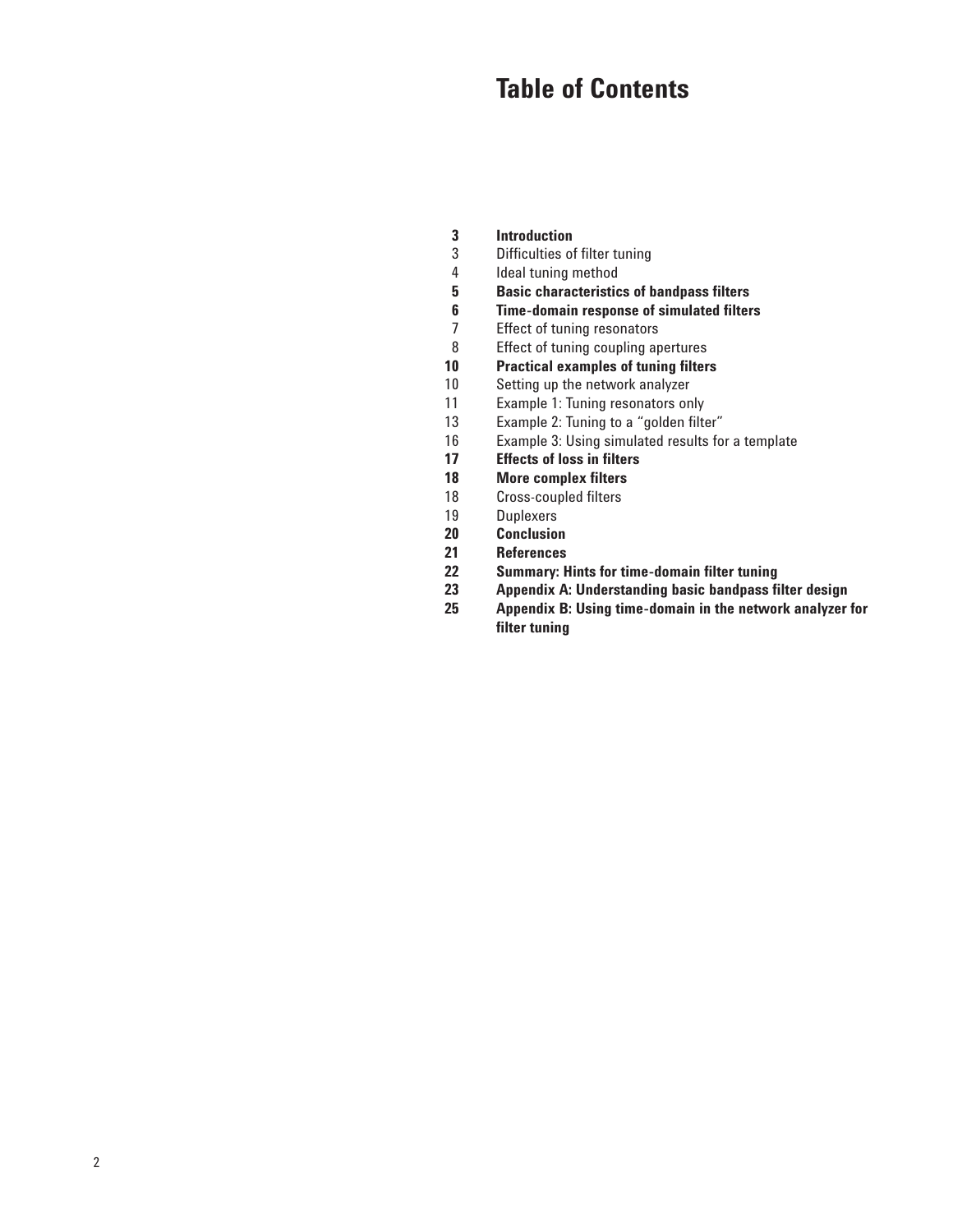# **Table of Contents**

- 
- **3 Introduction**<br>**3 Difficulties of** Difficulties of filter tuning
- 
- 4 Ideal tuning method<br>**5** Basic characteristic **5 Basic characteristics of bandpass filters**
- **6 Time-domain response of simulated filters**<br>**7** Effect of tuning resonators
- 7 Effect of tuning resonators<br>8 Effect of tuning coupling ap
- Effect of tuning coupling apertures
- **10 Practical examples of tuning filters**<br>**10** Setting up the network analyzer
- 10 Setting up the network analyzer<br>11 Example 1: Tuning resonators on
- 11 Example 1: Tuning resonators only<br>13 Example 2: Tuning to a "golden filte
- Example 2: Tuning to a "golden filter"
- 16 Example 3: Using simulated results for a template<br>17 Effects of loss in filters
- **17 Effects of loss in filters**
- **18 More complex filters**<br>18 Cross-coupled filters
- 18 Cross-coupled filters<br>19 Duplexers
- 19 Duplexers<br>20 **Conclusion**
- **20 Conclusion**
- **21 References**
- **22 Summary: Hints for time-domain filter tuning**
- **23 Appendix A: Understanding basic bandpass filter design** 
	- **25 Appendix B: Using time-domain in the network analyzer for filter tuning**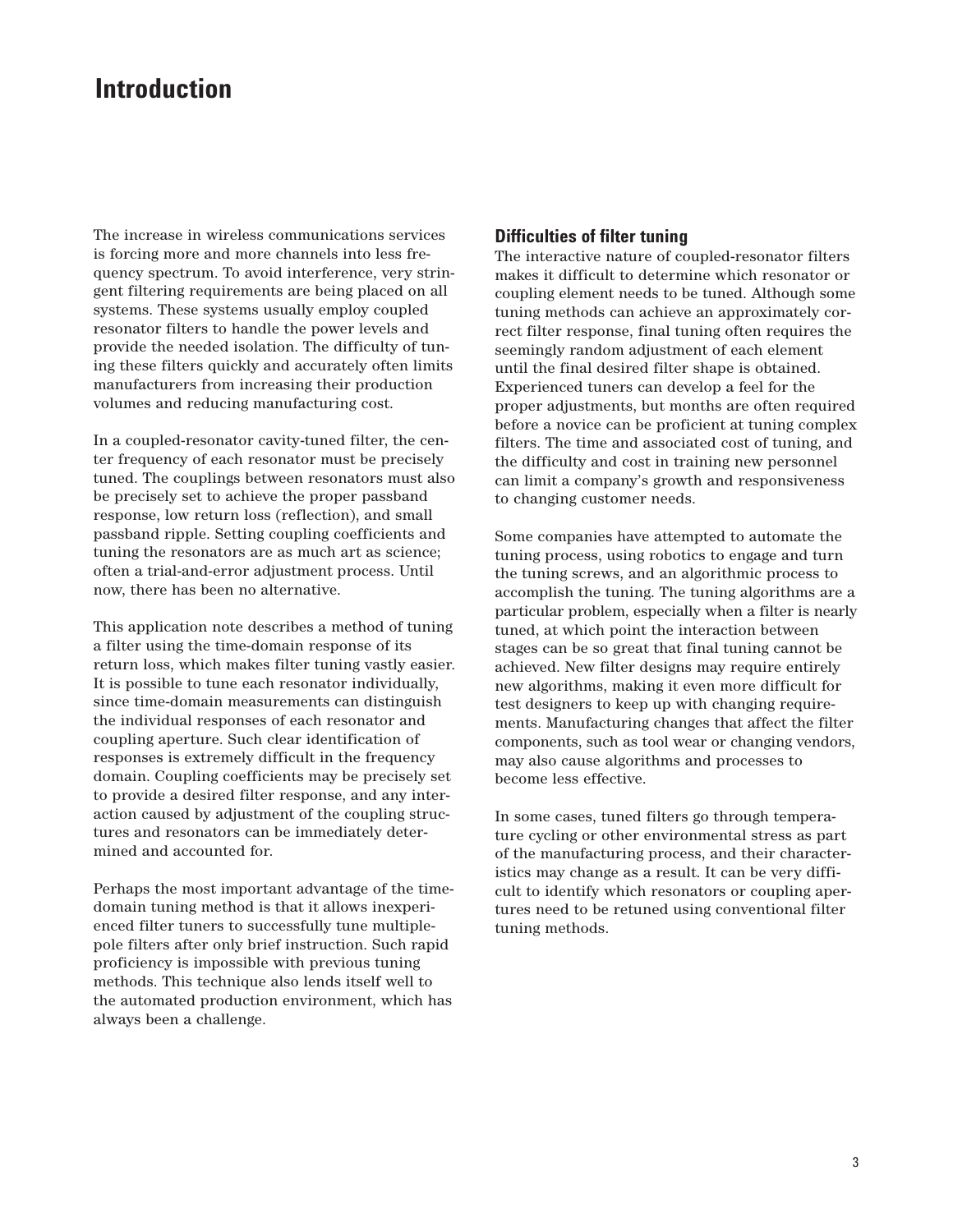# **Introduction**

The increase in wireless communications services is forcing more and more channels into less frequency spectrum. To avoid interference, very stringent filtering requirements are being placed on all systems. These systems usually employ coupled resonator filters to handle the power levels and provide the needed isolation. The difficulty of tuning these filters quickly and accurately often limits manufacturers from increasing their production volumes and reducing manufacturing cost.

In a coupled-resonator cavity-tuned filter, the center frequency of each resonator must be precisely tuned. The couplings between resonators must also be precisely set to achieve the proper passband response, low return loss (reflection), and small passband ripple. Setting coupling coefficients and tuning the resonators are as much art as science; often a trial-and-error adjustment process. Until now, there has been no alternative.

This application note describes a method of tuning a filter using the time-domain response of its return loss, which makes filter tuning vastly easier. It is possible to tune each resonator individually, since time-domain measurements can distinguish the individual responses of each resonator and coupling aperture. Such clear identification of responses is extremely difficult in the frequency domain. Coupling coefficients may be precisely set to provide a desired filter response, and any interaction caused by adjustment of the coupling structures and resonators can be immediately determined and accounted for.

Perhaps the most important advantage of the timedomain tuning method is that it allows inexperienced filter tuners to successfully tune multiplepole filters after only brief instruction. Such rapid proficiency is impossible with previous tuning methods. This technique also lends itself well to the automated production environment, which has always been a challenge.

### **Difficulties of filter tuning**

The interactive nature of coupled-resonator filters makes it difficult to determine which resonator or coupling element needs to be tuned. Although some tuning methods can achieve an approximately correct filter response, final tuning often requires the seemingly random adjustment of each element until the final desired filter shape is obtained. Experienced tuners can develop a feel for the proper adjustments, but months are often required before a novice can be proficient at tuning complex filters. The time and associated cost of tuning, and the difficulty and cost in training new personnel can limit a company's growth and responsiveness to changing customer needs.

Some companies have attempted to automate the tuning process, using robotics to engage and turn the tuning screws, and an algorithmic process to accomplish the tuning. The tuning algorithms are a particular problem, especially when a filter is nearly tuned, at which point the interaction between stages can be so great that final tuning cannot be achieved. New filter designs may require entirely new algorithms, making it even more difficult for test designers to keep up with changing requirements. Manufacturing changes that affect the filter components, such as tool wear or changing vendors, may also cause algorithms and processes to become less effective.

In some cases, tuned filters go through temperature cycling or other environmental stress as part of the manufacturing process, and their characteristics may change as a result. It can be very difficult to identify which resonators or coupling apertures need to be retuned using conventional filter tuning methods.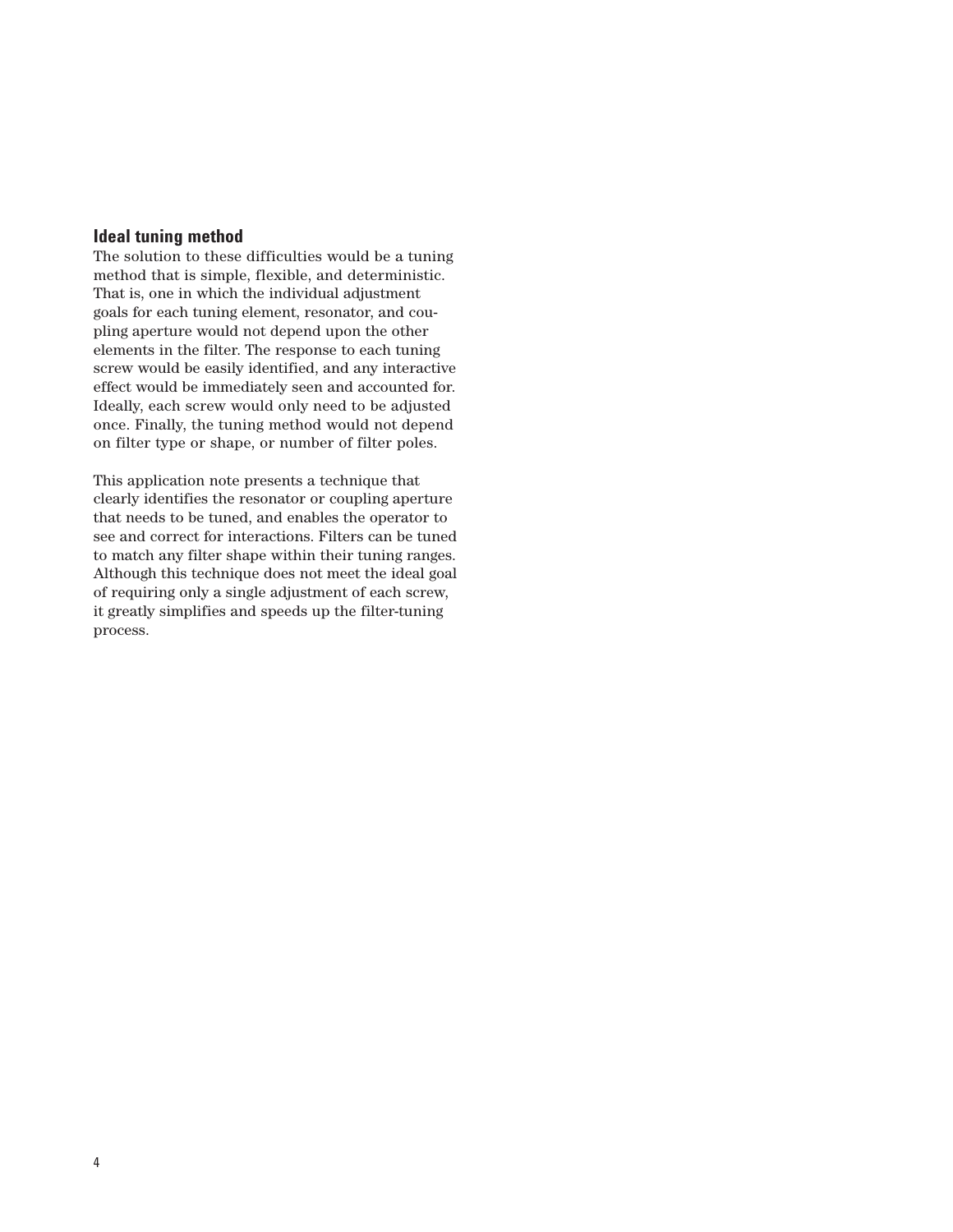## **Ideal tuning method**

The solution to these difficulties would be a tuning method that is simple, flexible, and deterministic. That is, one in which the individual adjustment goals for each tuning element, resonator, and coupling aperture would not depend upon the other elements in the filter. The response to each tuning screw would be easily identified, and any interactive effect would be immediately seen and accounted for. Ideally, each screw would only need to be adjusted once. Finally, the tuning method would not depend on filter type or shape, or number of filter poles.

This application note presents a technique that clearly identifies the resonator or coupling aperture that needs to be tuned, and enables the operator to see and correct for interactions. Filters can be tuned to match any filter shape within their tuning ranges. Although this technique does not meet the ideal goal of requiring only a single adjustment of each screw, it greatly simplifies and speeds up the filter-tuning process.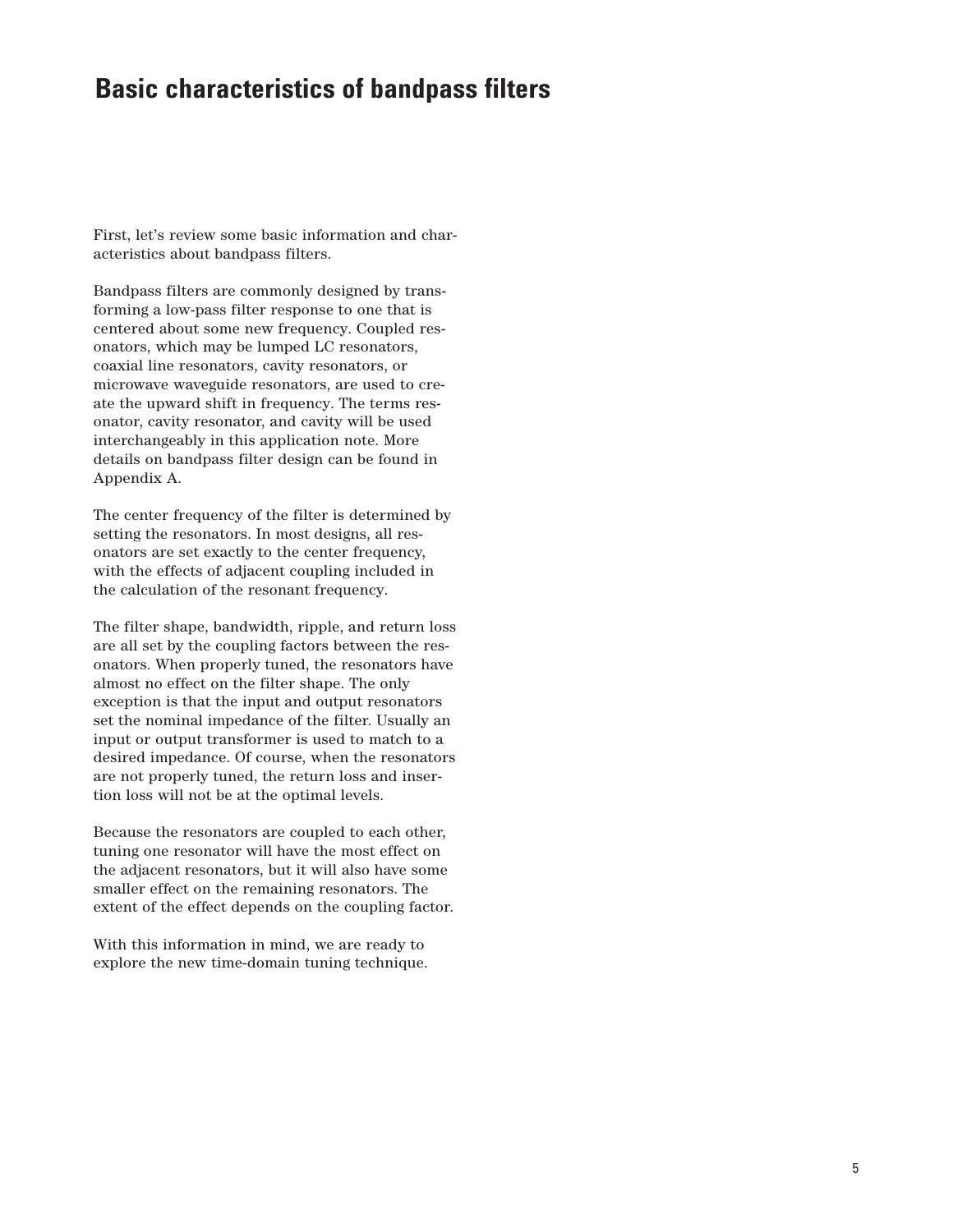## **Basic characteristics of bandpass filters**

First, let's review some basic information and characteristics about bandpass filters.

Bandpass filters are commonly designed by transforming a low-pass filter response to one that is centered about some new frequency. Coupled resonators, which may be lumped LC resonators, coaxial line resonators, cavity resonators, or microwave waveguide resonators, are used to create the upward shift in frequency. The terms resonator, cavity resonator, and cavity will be used interchangeably in this application note. More details on bandpass filter design can be found in Appendix A.

The center frequency of the filter is determined by setting the resonators. In most designs, all resonators are set exactly to the center frequency, with the effects of adjacent coupling included in the calculation of the resonant frequency.

The filter shape, bandwidth, ripple, and return loss are all set by the coupling factors between the resonators. When properly tuned, the resonators have almost no effect on the filter shape. The only exception is that the input and output resonators set the nominal impedance of the filter. Usually an input or output transformer is used to match to a desired impedance. Of course, when the resonators are not properly tuned, the return loss and insertion loss will not be at the optimal levels.

Because the resonators are coupled to each other, tuning one resonator will have the most effect on the adjacent resonators, but it will also have some smaller effect on the remaining resonators. The extent of the effect depends on the coupling factor.

With this information in mind, we are ready to explore the new time-domain tuning technique.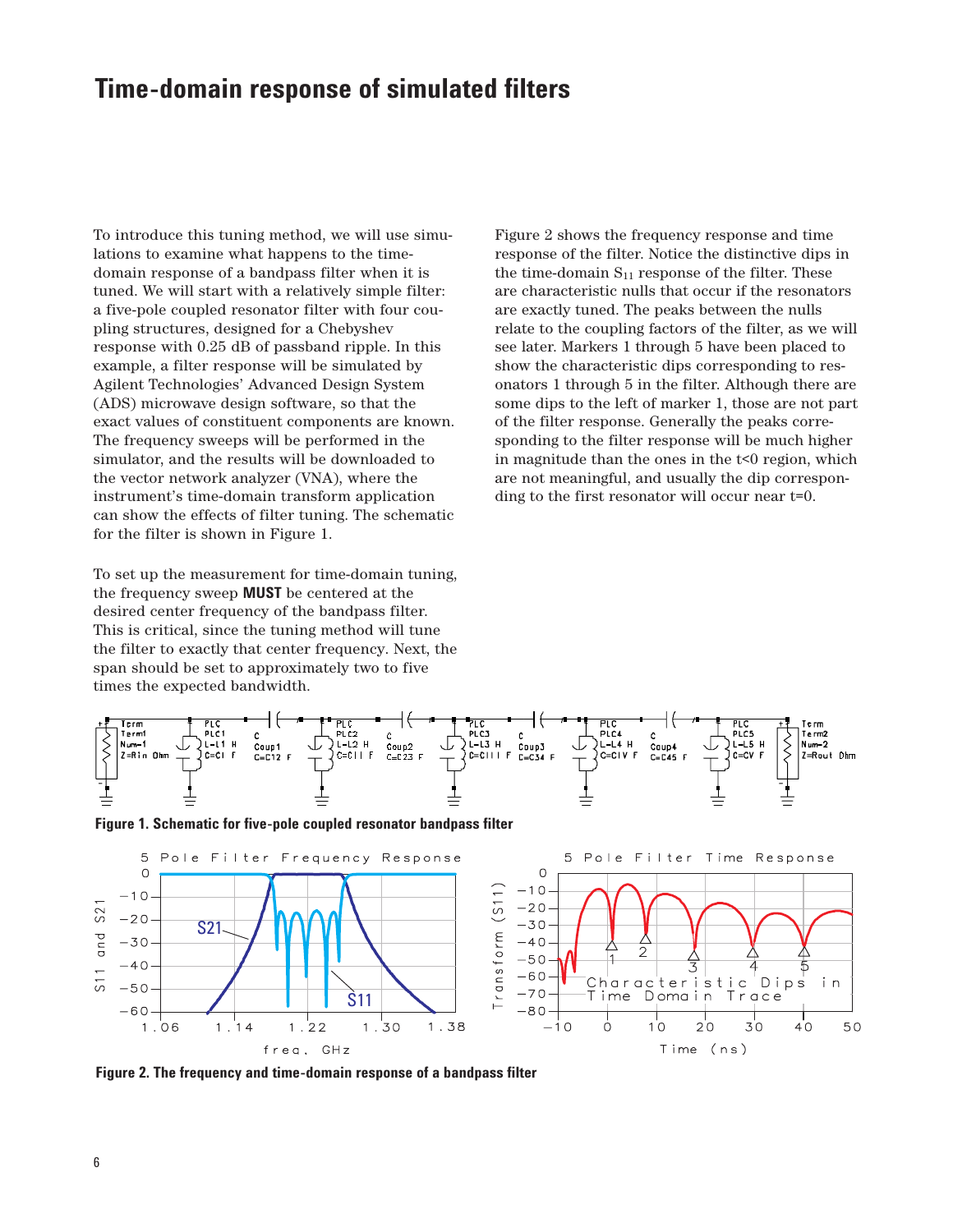# **Time-domain response of simulated filters**

To introduce this tuning method, we will use simulations to examine what happens to the timedomain response of a bandpass filter when it is tuned. We will start with a relatively simple filter: a five-pole coupled resonator filter with four coupling structures, designed for a Chebyshev response with 0.25 dB of passband ripple. In this example, a filter response will be simulated by Agilent Technologies' Advanced Design System (ADS) microwave design software, so that the exact values of constituent components are known. The frequency sweeps will be performed in the simulator, and the results will be downloaded to the vector network analyzer (VNA), where the instrument's time-domain transform application can show the effects of filter tuning. The schematic for the filter is shown in Figure 1.

To set up the measurement for time-domain tuning, the frequency sweep **MUST** be centered at the desired center frequency of the bandpass filter. This is critical, since the tuning method will tune the filter to exactly that center frequency. Next, the span should be set to approximately two to five times the expected bandwidth.

Figure 2 shows the frequency response and time response of the filter. Notice the distinctive dips in the time-domain  $S_{11}$  response of the filter. These are characteristic nulls that occur if the resonators are exactly tuned. The peaks between the nulls relate to the coupling factors of the filter, as we will see later. Markers 1 through 5 have been placed to show the characteristic dips corresponding to resonators 1 through 5 in the filter. Although there are some dips to the left of marker 1, those are not part of the filter response. Generally the peaks corresponding to the filter response will be much higher in magnitude than the ones in the  $t<0$  region, which are not meaningful, and usually the dip corresponding to the first resonator will occur near t=0.







**Figure 2. The frequency and time-domain response of a bandpass filter**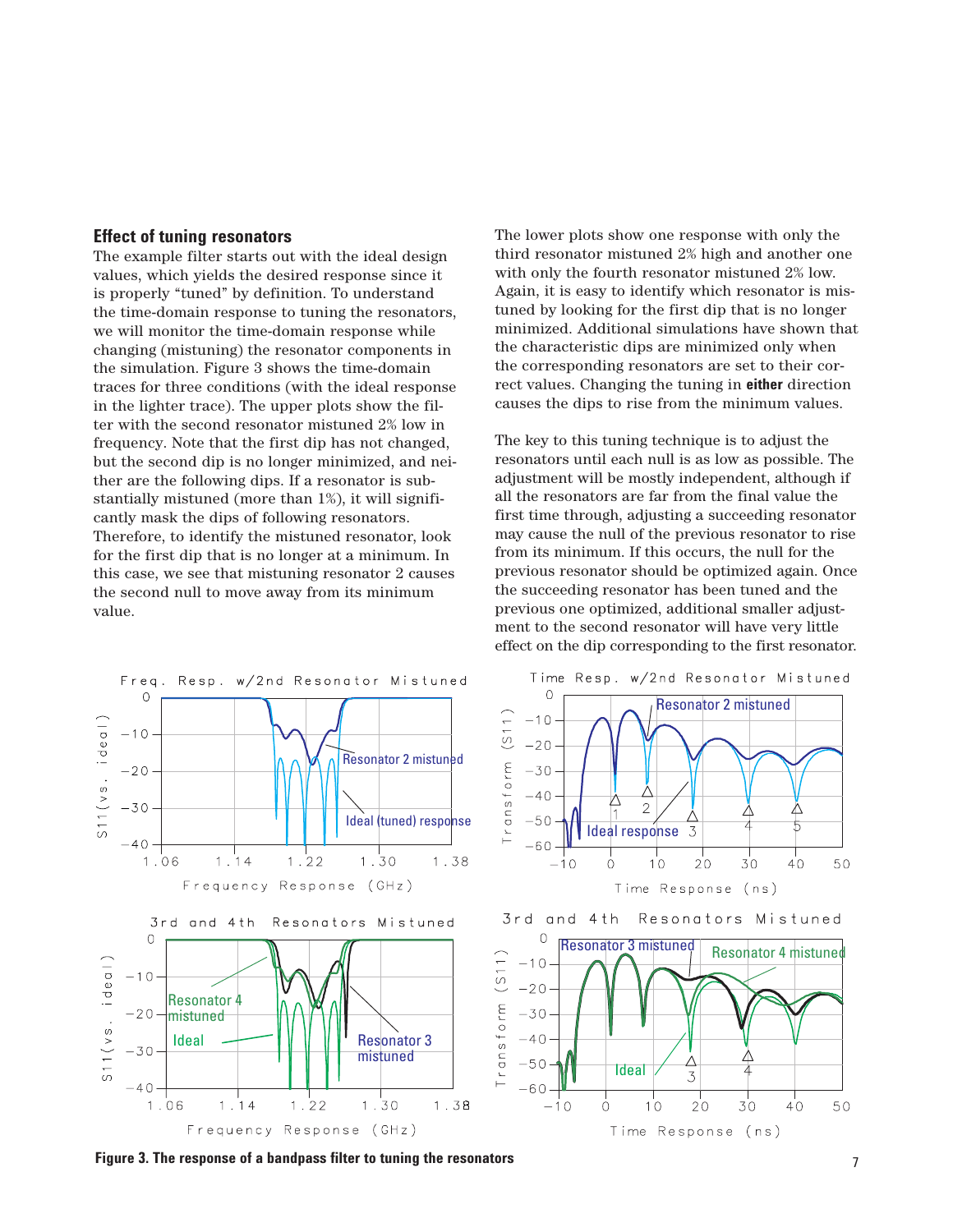#### **Effect of tuning resonators**

The example filter starts out with the ideal design values, which yields the desired response since it is properly "tuned" by definition. To understand the time-domain response to tuning the resonators, we will monitor the time-domain response while changing (mistuning) the resonator components in the simulation. Figure 3 shows the time-domain traces for three conditions (with the ideal response in the lighter trace). The upper plots show the filter with the second resonator mistuned 2% low in frequency. Note that the first dip has not changed, but the second dip is no longer minimized, and neither are the following dips. If a resonator is substantially mistuned (more than 1%), it will significantly mask the dips of following resonators. Therefore, to identify the mistuned resonator, look for the first dip that is no longer at a minimum. In this case, we see that mistuning resonator 2 causes the second null to move away from its minimum value.

The lower plots show one response with only the third resonator mistuned 2% high and another one with only the fourth resonator mistuned 2% low. Again, it is easy to identify which resonator is mistuned by looking for the first dip that is no longer minimized. Additional simulations have shown that the characteristic dips are minimized only when the corresponding resonators are set to their correct values. Changing the tuning in **either** direction causes the dips to rise from the minimum values.

The key to this tuning technique is to adjust the resonators until each null is as low as possible. The adjustment will be mostly independent, although if all the resonators are far from the final value the first time through, adjusting a succeeding resonator may cause the null of the previous resonator to rise from its minimum. If this occurs, the null for the previous resonator should be optimized again. Once the succeeding resonator has been tuned and the previous one optimized, additional smaller adjustment to the second resonator will have very little effect on the dip corresponding to the first resonator.



Time Resp. w/2nd Resonator Mistuned 0 Resonator 2 mistuned  $(S11)$  $-10$  $-20$ Transform  $-30$  $-40$  $\overline{2}$ Δ  $-50$ 5 3 Ideal response  $-60$  $-10$  $1^{\circ}$  $2^{\rm o}$  $30$  $40^{\circ}$  $\dot{\circ}$ 50 Time Response (ns)



7 **Figure 3. The response of a bandpass filter to tuning the resonators**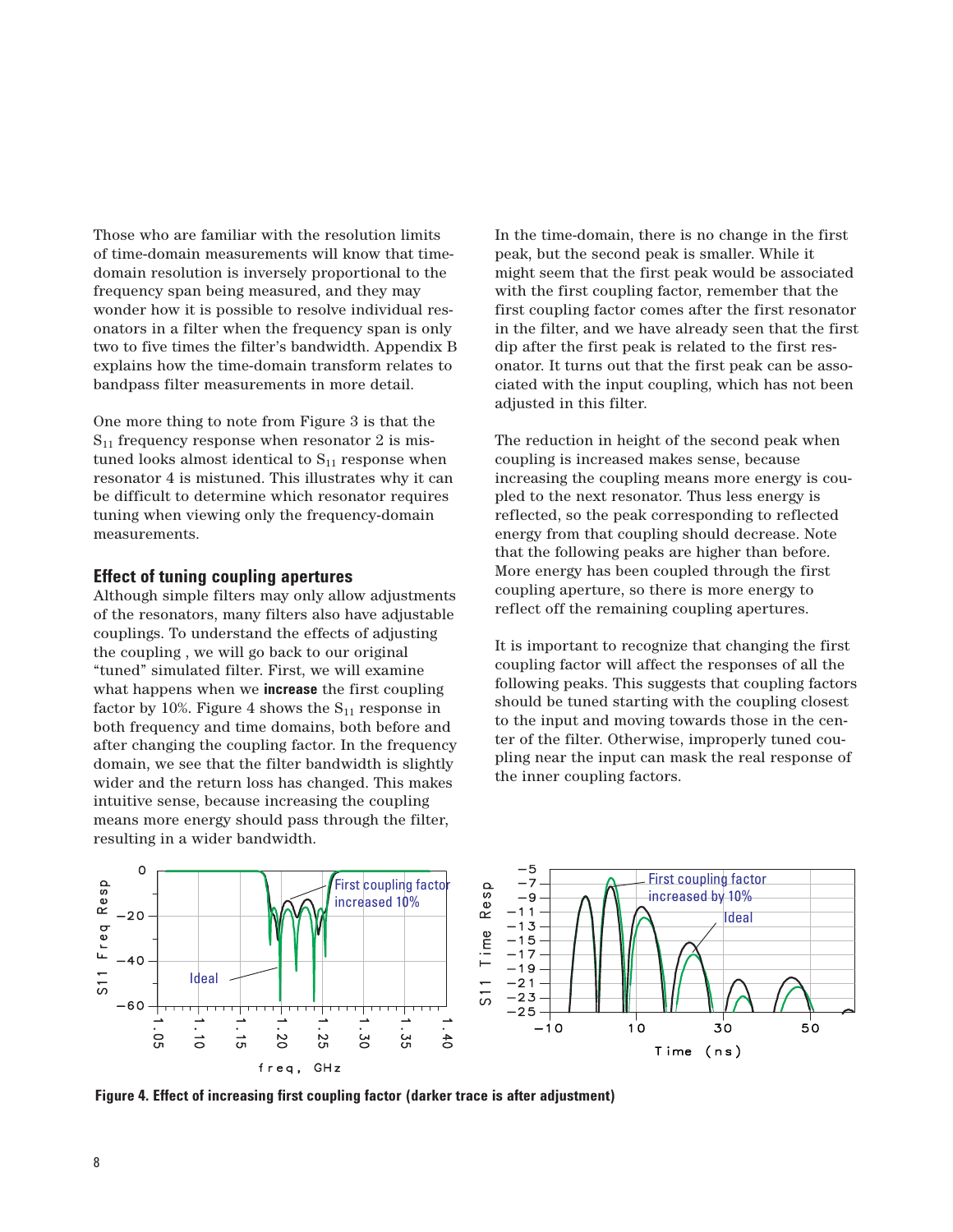Those who are familiar with the resolution limits of time-domain measurements will know that timedomain resolution is inversely proportional to the frequency span being measured, and they may wonder how it is possible to resolve individual resonators in a filter when the frequency span is only two to five times the filter's bandwidth. Appendix B explains how the time-domain transform relates to bandpass filter measurements in more detail.

One more thing to note from Figure 3 is that the  $S_{11}$  frequency response when resonator 2 is mistuned looks almost identical to  $S_{11}$  response when resonator 4 is mistuned. This illustrates why it can be difficult to determine which resonator requires tuning when viewing only the frequency-domain measurements.

### **Effect of tuning coupling apertures**

Although simple filters may only allow adjustments of the resonators, many filters also have adjustable couplings. To understand the effects of adjusting the coupling , we will go back to our original "tuned" simulated filter. First, we will examine what happens when we **increase** the first coupling factor by 10%. Figure 4 shows the  $S_{11}$  response in both frequency and time domains, both before and after changing the coupling factor. In the frequency domain, we see that the filter bandwidth is slightly wider and the return loss has changed. This makes intuitive sense, because increasing the coupling means more energy should pass through the filter, resulting in a wider bandwidth.

In the time-domain, there is no change in the first peak, but the second peak is smaller. While it might seem that the first peak would be associated with the first coupling factor, remember that the first coupling factor comes after the first resonator in the filter, and we have already seen that the first dip after the first peak is related to the first resonator. It turns out that the first peak can be associated with the input coupling, which has not been adjusted in this filter.

The reduction in height of the second peak when coupling is increased makes sense, because increasing the coupling means more energy is coupled to the next resonator. Thus less energy is reflected, so the peak corresponding to reflected energy from that coupling should decrease. Note that the following peaks are higher than before. More energy has been coupled through the first coupling aperture, so there is more energy to reflect off the remaining coupling apertures.

It is important to recognize that changing the first coupling factor will affect the responses of all the following peaks. This suggests that coupling factors should be tuned starting with the coupling closest to the input and moving towards those in the center of the filter. Otherwise, improperly tuned coupling near the input can mask the real response of the inner coupling factors.



**Figure 4. Effect of increasing first coupling factor (darker trace is after adjustment)**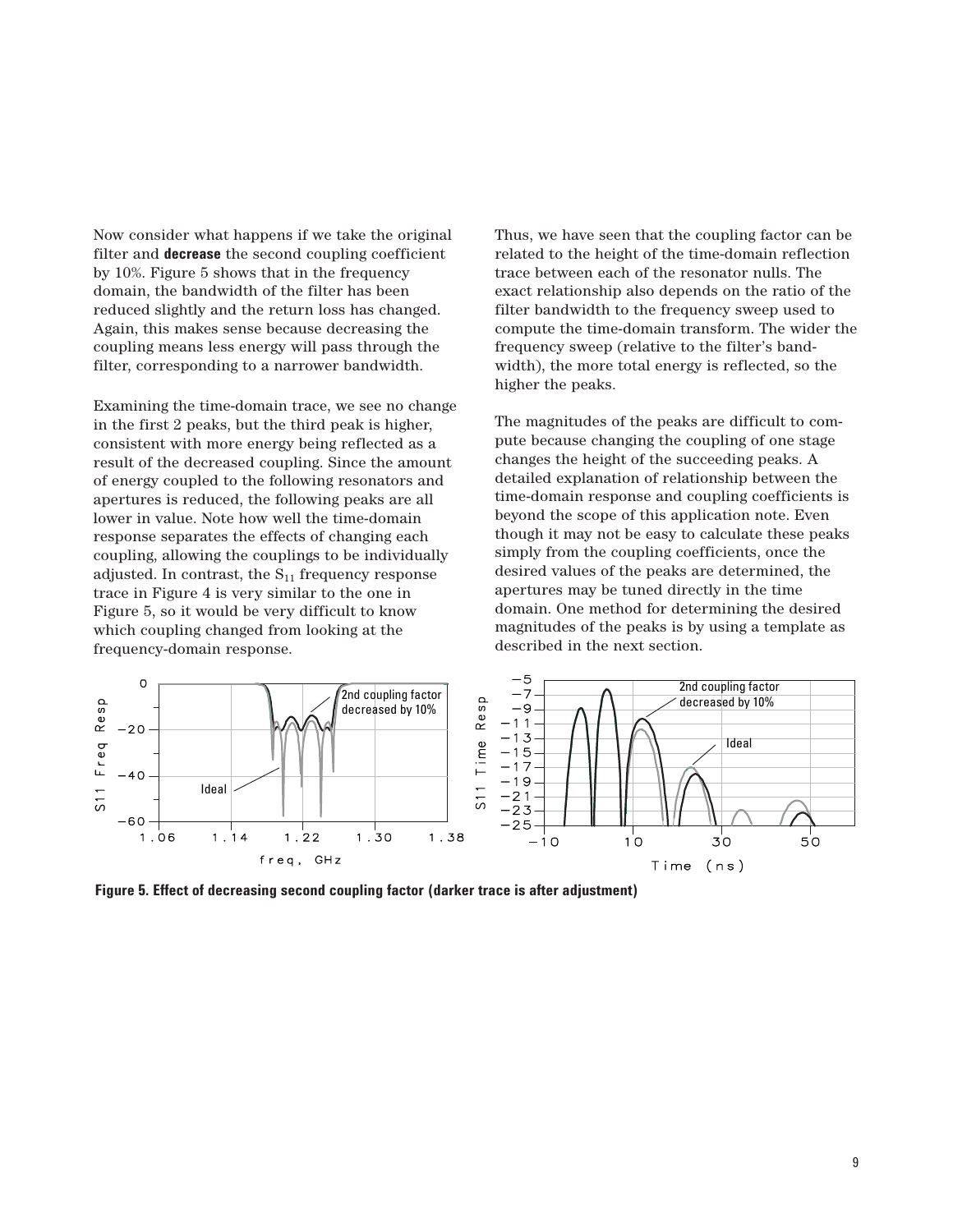Now consider what happens if we take the original filter and **decrease** the second coupling coefficient by 10%. Figure 5 shows that in the frequency domain, the bandwidth of the filter has been reduced slightly and the return loss has changed. Again, this makes sense because decreasing the coupling means less energy will pass through the filter, corresponding to a narrower bandwidth.

Examining the time-domain trace, we see no change in the first 2 peaks, but the third peak is higher, consistent with more energy being reflected as a result of the decreased coupling. Since the amount of energy coupled to the following resonators and apertures is reduced, the following peaks are all lower in value. Note how well the time-domain response separates the effects of changing each coupling, allowing the couplings to be individually adjusted. In contrast, the  $S_{11}$  frequency response trace in Figure 4 is very similar to the one in Figure 5, so it would be very difficult to know which coupling changed from looking at the frequency-domain response.

Thus, we have seen that the coupling factor can be related to the height of the time-domain reflection trace between each of the resonator nulls. The exact relationship also depends on the ratio of the filter bandwidth to the frequency sweep used to compute the time-domain transform. The wider the frequency sweep (relative to the filter's bandwidth), the more total energy is reflected, so the higher the peaks.

The magnitudes of the peaks are difficult to compute because changing the coupling of one stage changes the height of the succeeding peaks. A detailed explanation of relationship between the time-domain response and coupling coefficients is beyond the scope of this application note. Even though it may not be easy to calculate these peaks simply from the coupling coefficients, once the desired values of the peaks are determined, the apertures may be tuned directly in the time domain. One method for determining the desired magnitudes of the peaks is by using a template as described in the next section.



**Figure 5. Effect of decreasing second coupling factor (darker trace is after adjustment)**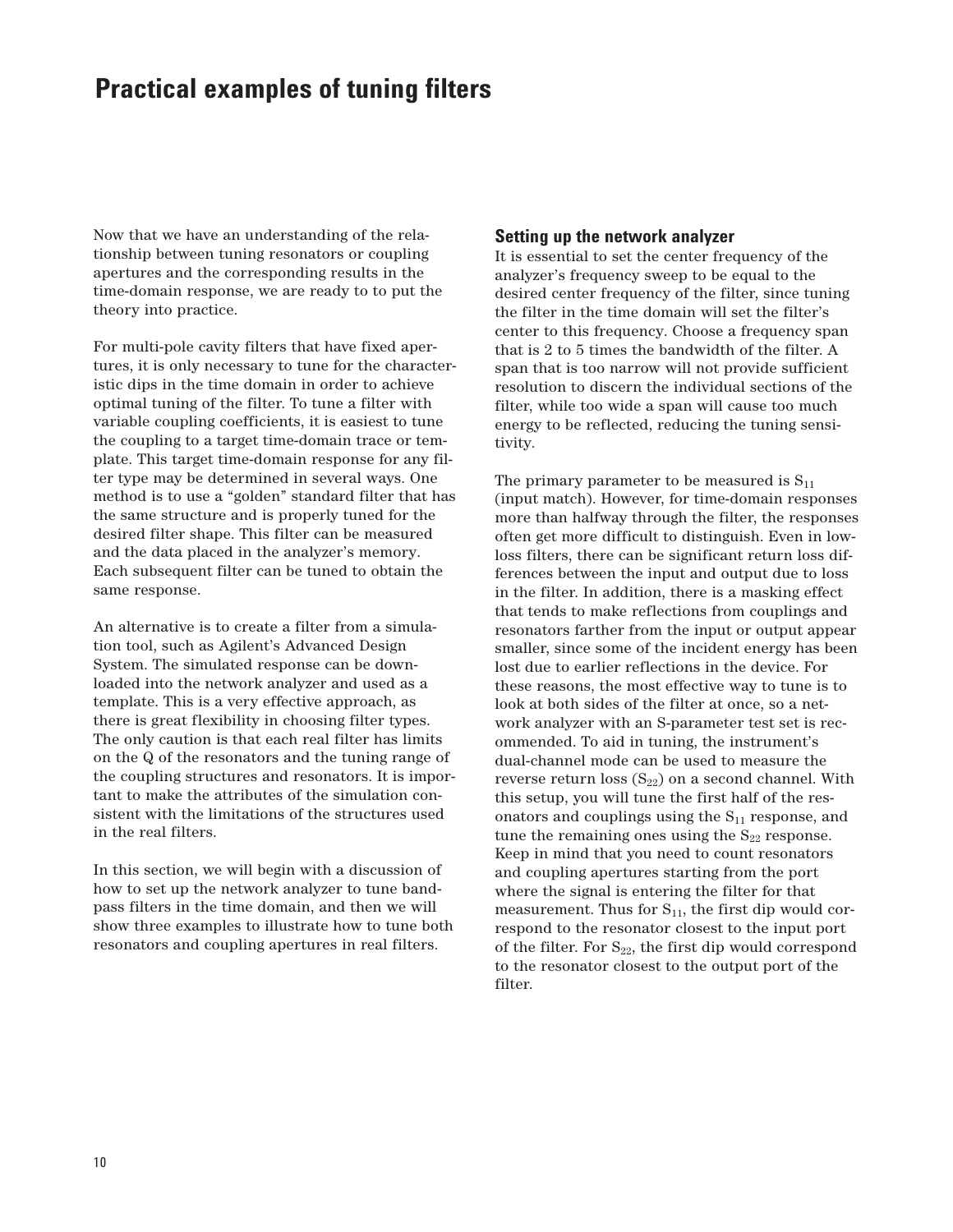# **Practical examples of tuning filters**

Now that we have an understanding of the relationship between tuning resonators or coupling apertures and the corresponding results in the time-domain response, we are ready to to put the theory into practice.

For multi-pole cavity filters that have fixed apertures, it is only necessary to tune for the characteristic dips in the time domain in order to achieve optimal tuning of the filter. To tune a filter with variable coupling coefficients, it is easiest to tune the coupling to a target time-domain trace or template. This target time-domain response for any filter type may be determined in several ways. One method is to use a "golden" standard filter that has the same structure and is properly tuned for the desired filter shape. This filter can be measured and the data placed in the analyzer's memory. Each subsequent filter can be tuned to obtain the same response.

An alternative is to create a filter from a simulation tool, such as Agilent's Advanced Design System. The simulated response can be downloaded into the network analyzer and used as a template. This is a very effective approach, as there is great flexibility in choosing filter types. The only caution is that each real filter has limits on the Q of the resonators and the tuning range of the coupling structures and resonators. It is important to make the attributes of the simulation consistent with the limitations of the structures used in the real filters.

In this section, we will begin with a discussion of how to set up the network analyzer to tune bandpass filters in the time domain, and then we will show three examples to illustrate how to tune both resonators and coupling apertures in real filters.

### **Setting up the network analyzer**

It is essential to set the center frequency of the analyzer's frequency sweep to be equal to the desired center frequency of the filter, since tuning the filter in the time domain will set the filter's center to this frequency. Choose a frequency span that is 2 to 5 times the bandwidth of the filter. A span that is too narrow will not provide sufficient resolution to discern the individual sections of the filter, while too wide a span will cause too much energy to be reflected, reducing the tuning sensitivity.

The primary parameter to be measured is  $S_{11}$ (input match). However, for time-domain responses more than halfway through the filter, the responses often get more difficult to distinguish. Even in lowloss filters, there can be significant return loss differences between the input and output due to loss in the filter. In addition, there is a masking effect that tends to make reflections from couplings and resonators farther from the input or output appear smaller, since some of the incident energy has been lost due to earlier reflections in the device. For these reasons, the most effective way to tune is to look at both sides of the filter at once, so a network analyzer with an S-parameter test set is recommended. To aid in tuning, the instrument's dual-channel mode can be used to measure the reverse return loss  $(S_{22})$  on a second channel. With this setup, you will tune the first half of the resonators and couplings using the  $S_{11}$  response, and tune the remaining ones using the  $S_{22}$  response. Keep in mind that you need to count resonators and coupling apertures starting from the port where the signal is entering the filter for that measurement. Thus for  $S_{11}$ , the first dip would correspond to the resonator closest to the input port of the filter. For  $S_{22}$ , the first dip would correspond to the resonator closest to the output port of the filter.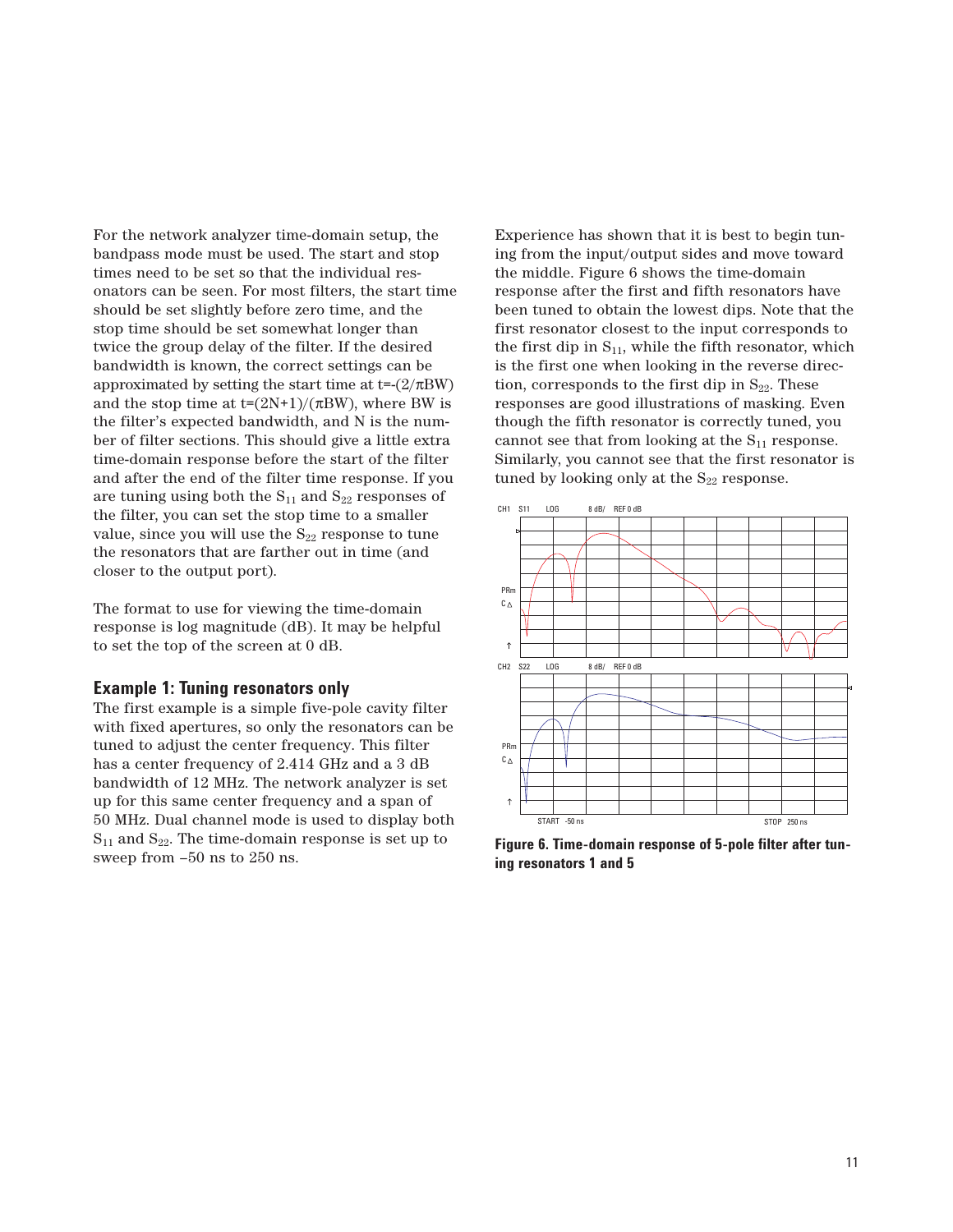For the network analyzer time-domain setup, the bandpass mode must be used. The start and stop times need to be set so that the individual resonators can be seen. For most filters, the start time should be set slightly before zero time, and the stop time should be set somewhat longer than twice the group delay of the filter. If the desired bandwidth is known, the correct settings can be approximated by setting the start time at  $t=(2/\pi BW)$ and the stop time at  $t=(2N+1)/(\pi BW)$ , where BW is the filter's expected bandwidth, and N is the number of filter sections. This should give a little extra time-domain response before the start of the filter and after the end of the filter time response. If you are tuning using both the  $S_{11}$  and  $S_{22}$  responses of the filter, you can set the stop time to a smaller value, since you will use the  $S_{22}$  response to tune the resonators that are farther out in time (and closer to the output port).

The format to use for viewing the time-domain response is log magnitude (dB). It may be helpful to set the top of the screen at 0 dB.

### **Example 1: Tuning resonators only**

The first example is a simple five-pole cavity filter with fixed apertures, so only the resonators can be tuned to adjust the center frequency. This filter has a center frequency of 2.414 GHz and a 3 dB bandwidth of 12 MHz. The network analyzer is set up for this same center frequency and a span of 50 MHz. Dual channel mode is used to display both  $S_{11}$  and  $S_{22}$ . The time-domain response is set up to sweep from –50 ns to 250 ns.

Experience has shown that it is best to begin tuning from the input/output sides and move toward the middle. Figure 6 shows the time-domain response after the first and fifth resonators have been tuned to obtain the lowest dips. Note that the first resonator closest to the input corresponds to the first dip in  $S_{11}$ , while the fifth resonator, which is the first one when looking in the reverse direction, corresponds to the first dip in  $S_{22}$ . These responses are good illustrations of masking. Even though the fifth resonator is correctly tuned, you cannot see that from looking at the  $S_{11}$  response. Similarly, you cannot see that the first resonator is tuned by looking only at the  $S_{22}$  response.



**Figure 6. Time-domain response of 5-pole filter after tuning resonators 1 and 5**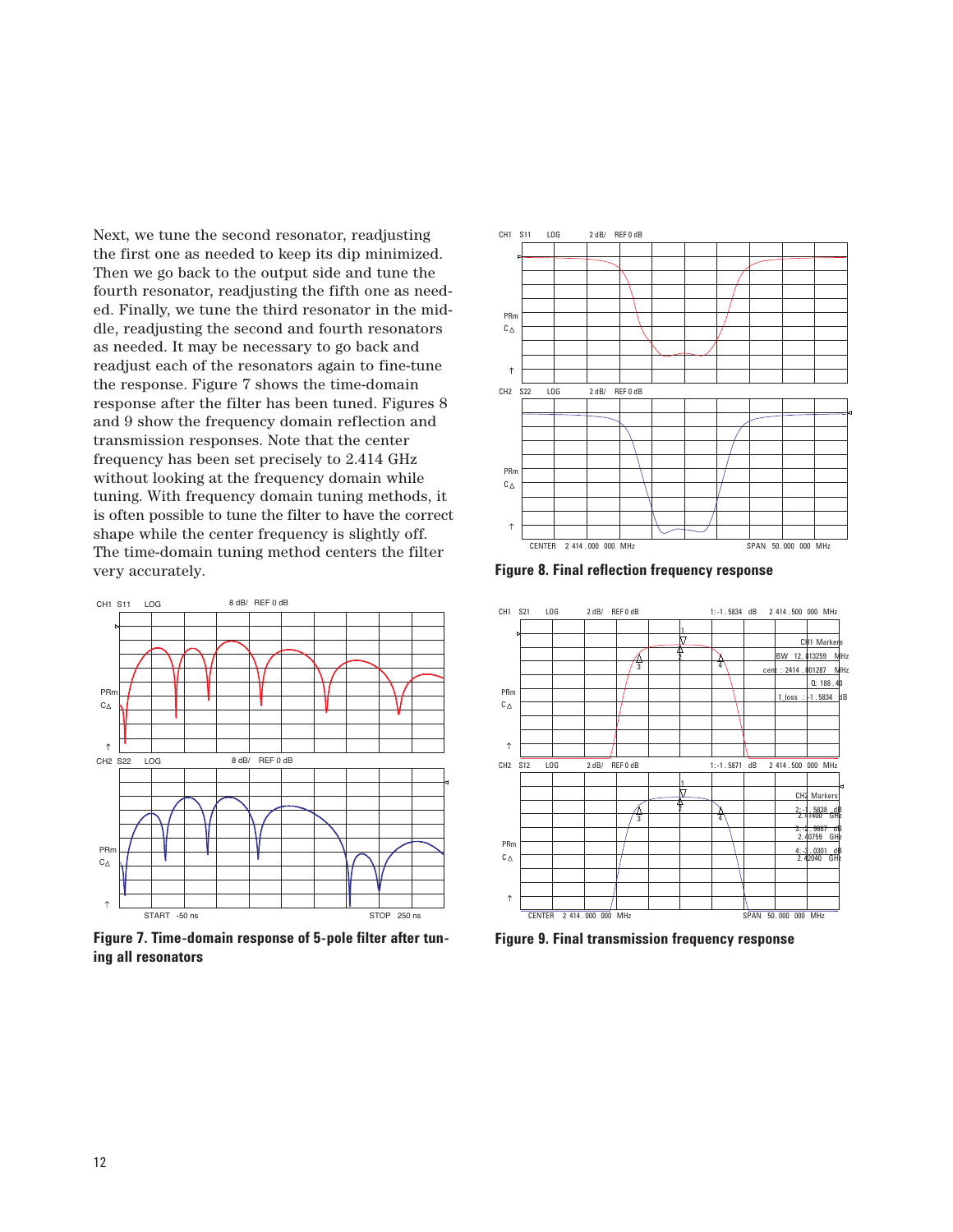Next, we tune the second resonator, readjusting the first one as needed to keep its dip minimized. Then we go back to the output side and tune the fourth resonator, readjusting the fifth one as needed. Finally, we tune the third resonator in the middle, readjusting the second and fourth resonators as needed. It may be necessary to go back and readjust each of the resonators again to fine-tune the response. Figure 7 shows the time-domain response after the filter has been tuned. Figures 8 and 9 show the frequency domain reflection and transmission responses. Note that the center frequency has been set precisely to 2.414 GHz without looking at the frequency domain while tuning. With frequency domain tuning methods, it is often possible to tune the filter to have the correct shape while the center frequency is slightly off. The time-domain tuning method centers the filter very accurately.



**Figure 7. Time-domain response of 5-pole filter after tuning all resonators** 



**Figure 8. Final reflection frequency response**



**Figure 9. Final transmission frequency response**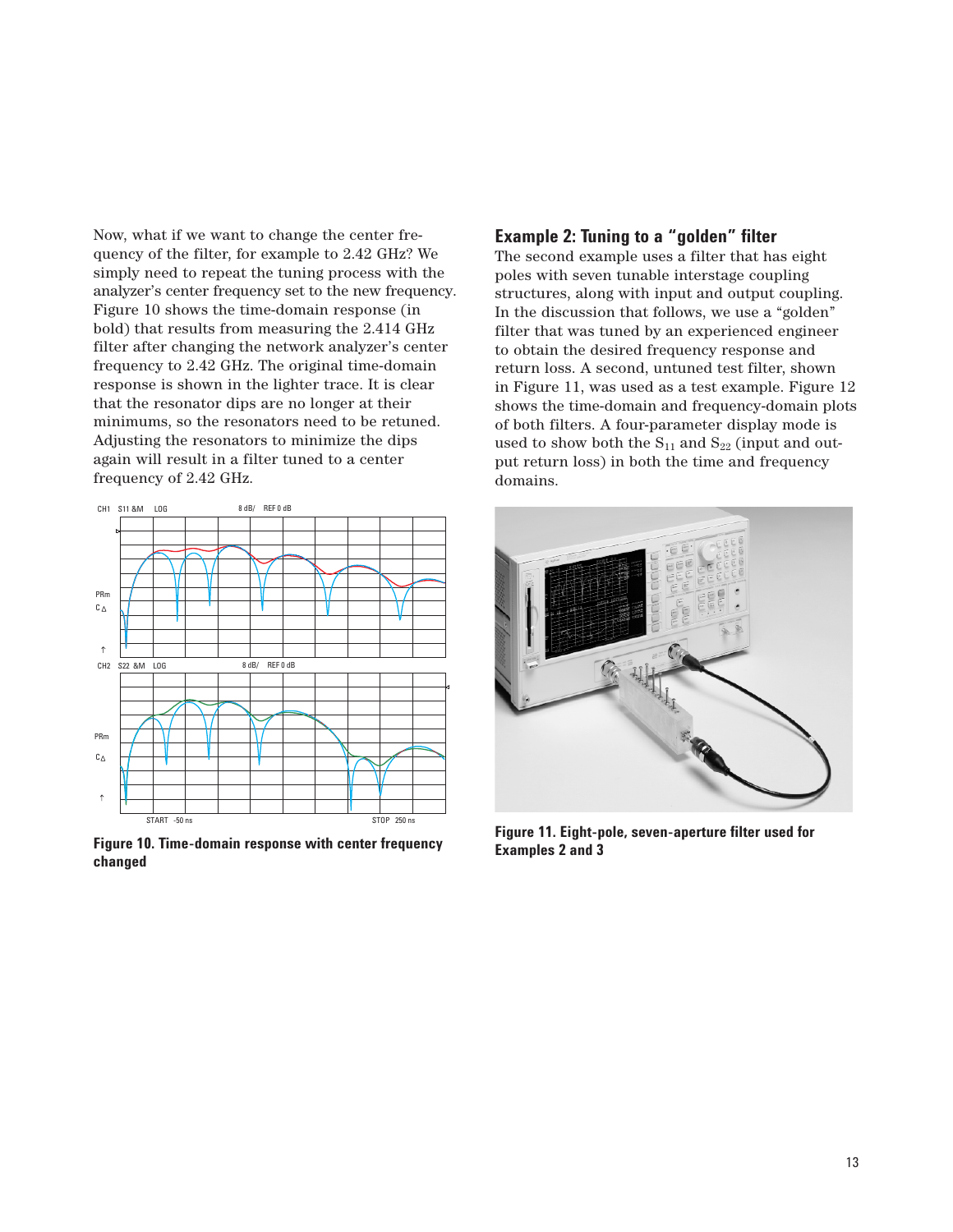Now, what if we want to change the center frequency of the filter, for example to 2.42 GHz? We simply need to repeat the tuning process with the analyzer's center frequency set to the new frequency. Figure 10 shows the time-domain response (in bold) that results from measuring the 2.414 GHz filter after changing the network analyzer's center frequency to 2.42 GHz. The original time-domain response is shown in the lighter trace. It is clear that the resonator dips are no longer at their minimums, so the resonators need to be retuned. Adjusting the resonators to minimize the dips again will result in a filter tuned to a center frequency of 2.42 GHz.



**Figure 10. Time-domain response with center frequency changed**

## **Example 2: Tuning to a "golden" filter**

The second example uses a filter that has eight poles with seven tunable interstage coupling structures, along with input and output coupling. In the discussion that follows, we use a "golden" filter that was tuned by an experienced engineer to obtain the desired frequency response and return loss. A second, untuned test filter, shown in Figure 11, was used as a test example. Figure 12 shows the time-domain and frequency-domain plots of both filters. A four-parameter display mode is used to show both the  $S_{11}$  and  $S_{22}$  (input and output return loss) in both the time and frequency domains.



**Figure 11. Eight-pole, seven-aperture filter used for Examples 2 and 3**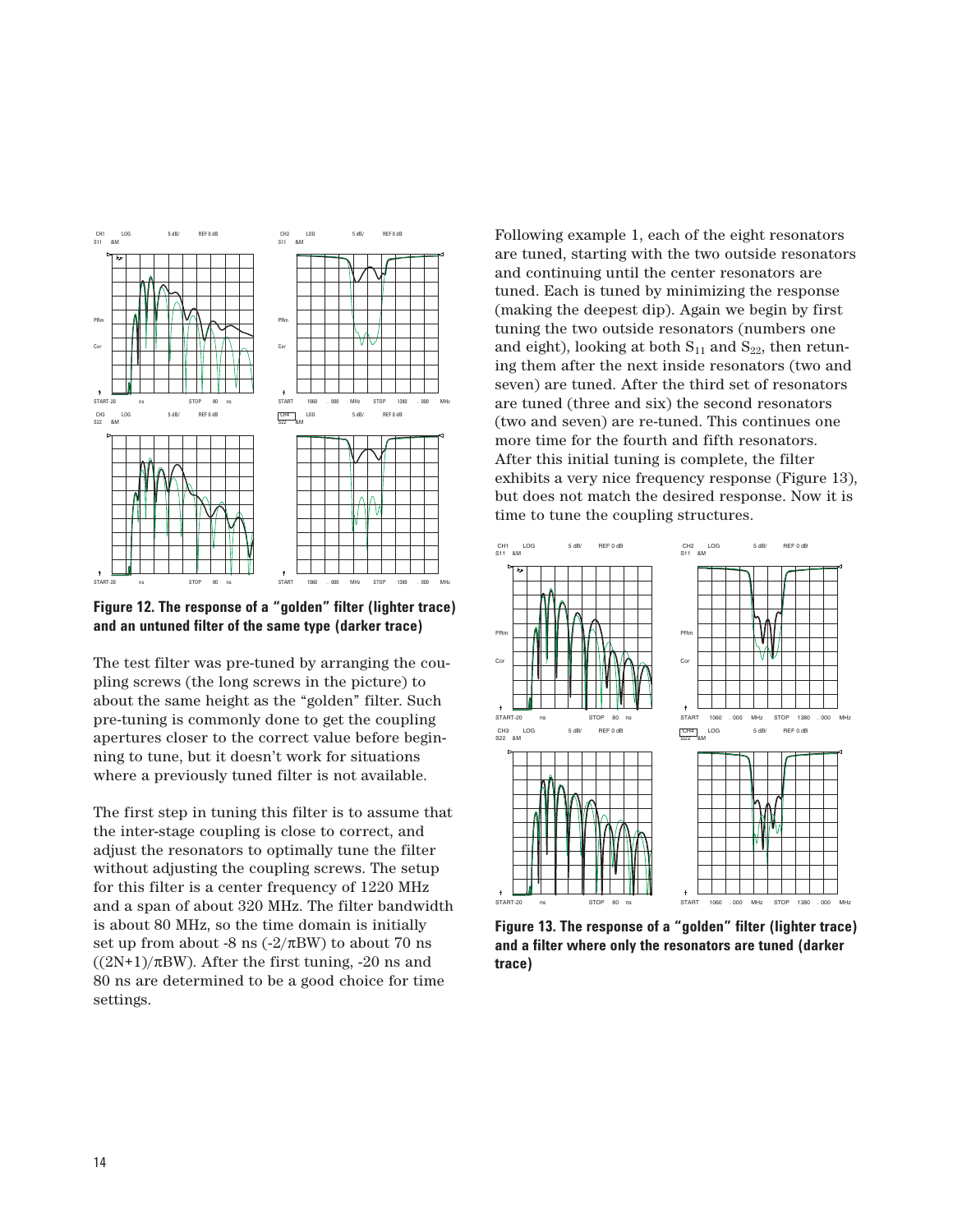

**Figure 12. The response of a "golden" filter (lighter trace) and an untuned filter of the same type (darker trace)**

The test filter was pre-tuned by arranging the coupling screws (the long screws in the picture) to about the same height as the "golden" filter. Such pre-tuning is commonly done to get the coupling apertures closer to the correct value before beginning to tune, but it doesn't work for situations where a previously tuned filter is not available.

The first step in tuning this filter is to assume that the inter-stage coupling is close to correct, and adjust the resonators to optimally tune the filter without adjusting the coupling screws. The setup for this filter is a center frequency of 1220 MHz and a span of about 320 MHz. The filter bandwidth is about 80 MHz, so the time domain is initially set up from about -8 ns  $(-2/\pi BW)$  to about 70 ns  $((2N+1)/\pi BW)$ . After the first tuning, -20 ns and 80 ns are determined to be a good choice for time settings.

Following example 1, each of the eight resonators are tuned, starting with the two outside resonators and continuing until the center resonators are tuned. Each is tuned by minimizing the response (making the deepest dip). Again we begin by first tuning the two outside resonators (numbers one and eight), looking at both  $S_{11}$  and  $S_{22}$ , then retuning them after the next inside resonators (two and seven) are tuned. After the third set of resonators are tuned (three and six) the second resonators (two and seven) are re-tuned. This continues one more time for the fourth and fifth resonators. After this initial tuning is complete, the filter exhibits a very nice frequency response (Figure 13), but does not match the desired response. Now it is time to tune the coupling structures.



**Figure 13. The response of a "golden" filter (lighter trace) and a filter where only the resonators are tuned (darker trace)**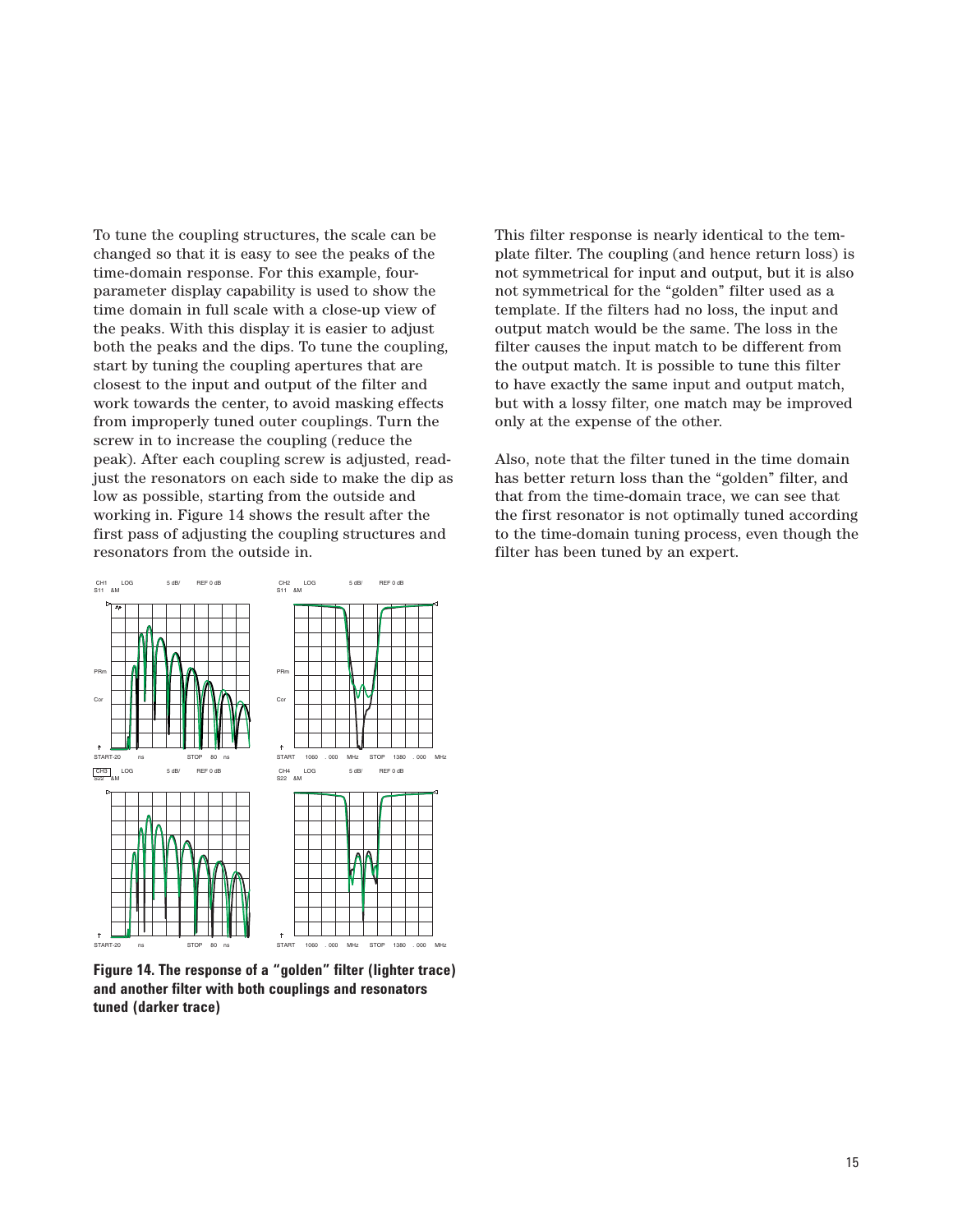To tune the coupling structures, the scale can be changed so that it is easy to see the peaks of the time-domain response. For this example, fourparameter display capability is used to show the time domain in full scale with a close-up view of the peaks. With this display it is easier to adjust both the peaks and the dips. To tune the coupling, start by tuning the coupling apertures that are closest to the input and output of the filter and work towards the center, to avoid masking effects from improperly tuned outer couplings. Turn the screw in to increase the coupling (reduce the peak). After each coupling screw is adjusted, readjust the resonators on each side to make the dip as low as possible, starting from the outside and working in. Figure 14 shows the result after the first pass of adjusting the coupling structures and resonators from the outside in.

This filter response is nearly identical to the template filter. The coupling (and hence return loss) is not symmetrical for input and output, but it is also not symmetrical for the "golden" filter used as a template. If the filters had no loss, the input and output match would be the same. The loss in the filter causes the input match to be different from the output match. It is possible to tune this filter to have exactly the same input and output match, but with a lossy filter, one match may be improved only at the expense of the other.

Also, note that the filter tuned in the time domain has better return loss than the "golden" filter, and that from the time-domain trace, we can see that the first resonator is not optimally tuned according to the time-domain tuning process, even though the filter has been tuned by an expert.



**Figure 14. The response of a "golden" filter (lighter trace) and another filter with both couplings and resonators tuned (darker trace)**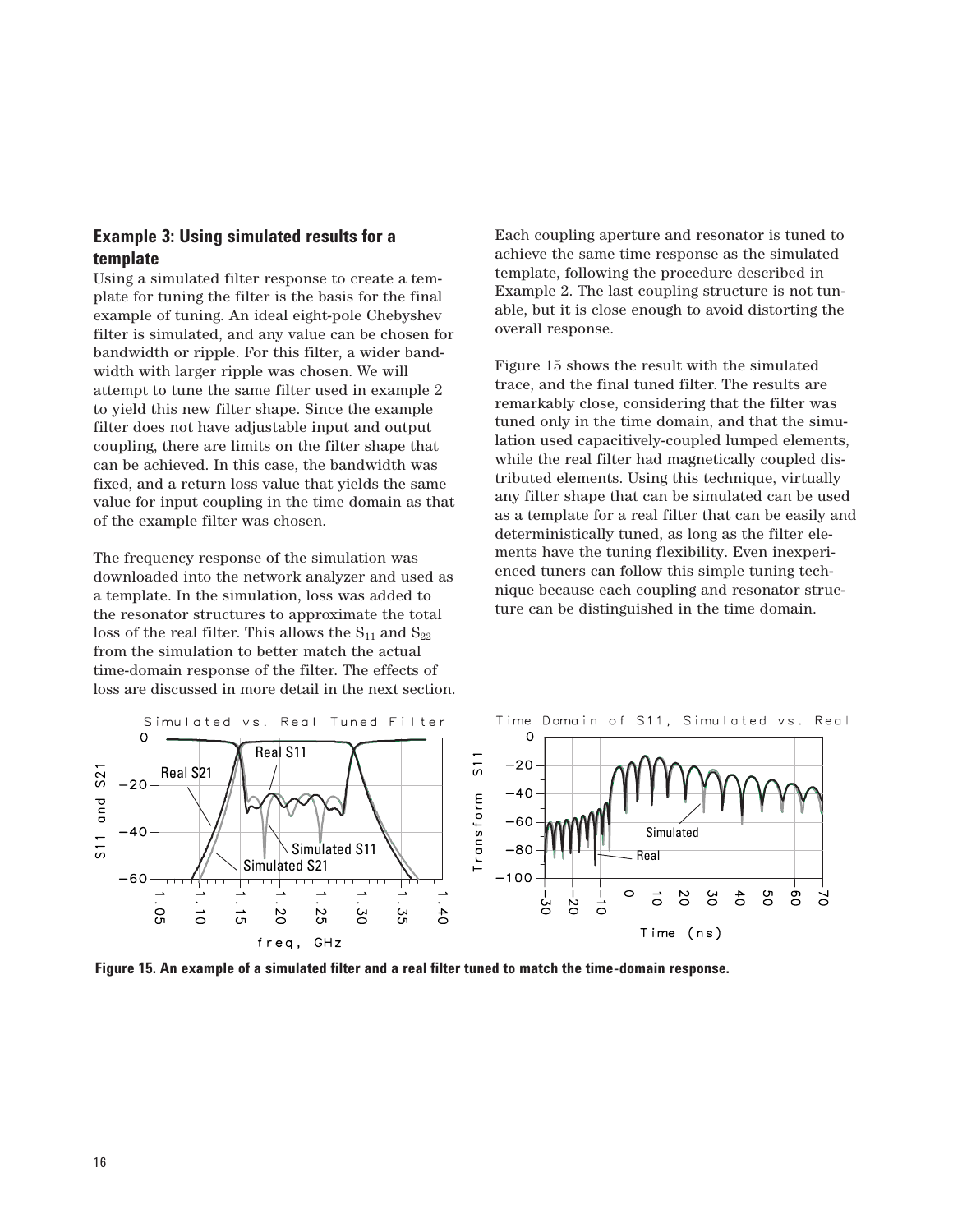## **Example 3: Using simulated results for a template**

Using a simulated filter response to create a template for tuning the filter is the basis for the final example of tuning. An ideal eight-pole Chebyshev filter is simulated, and any value can be chosen for bandwidth or ripple. For this filter, a wider bandwidth with larger ripple was chosen. We will attempt to tune the same filter used in example 2 to yield this new filter shape. Since the example filter does not have adjustable input and output coupling, there are limits on the filter shape that can be achieved. In this case, the bandwidth was fixed, and a return loss value that yields the same value for input coupling in the time domain as that of the example filter was chosen.

The frequency response of the simulation was downloaded into the network analyzer and used as a template. In the simulation, loss was added to the resonator structures to approximate the total loss of the real filter. This allows the  $S_{11}$  and  $S_{22}$ from the simulation to better match the actual time-domain response of the filter. The effects of loss are discussed in more detail in the next section. Each coupling aperture and resonator is tuned to achieve the same time response as the simulated template, following the procedure described in Example 2. The last coupling structure is not tunable, but it is close enough to avoid distorting the overall response.

Figure 15 shows the result with the simulated trace, and the final tuned filter. The results are remarkably close, considering that the filter was tuned only in the time domain, and that the simulation used capacitively-coupled lumped elements, while the real filter had magnetically coupled distributed elements. Using this technique, virtually any filter shape that can be simulated can be used as a template for a real filter that can be easily and deterministically tuned, as long as the filter elements have the tuning flexibility. Even inexperienced tuners can follow this simple tuning technique because each coupling and resonator structure can be distinguished in the time domain.



**Figure 15. An example of a simulated filter and a real filter tuned to match the time-domain response.**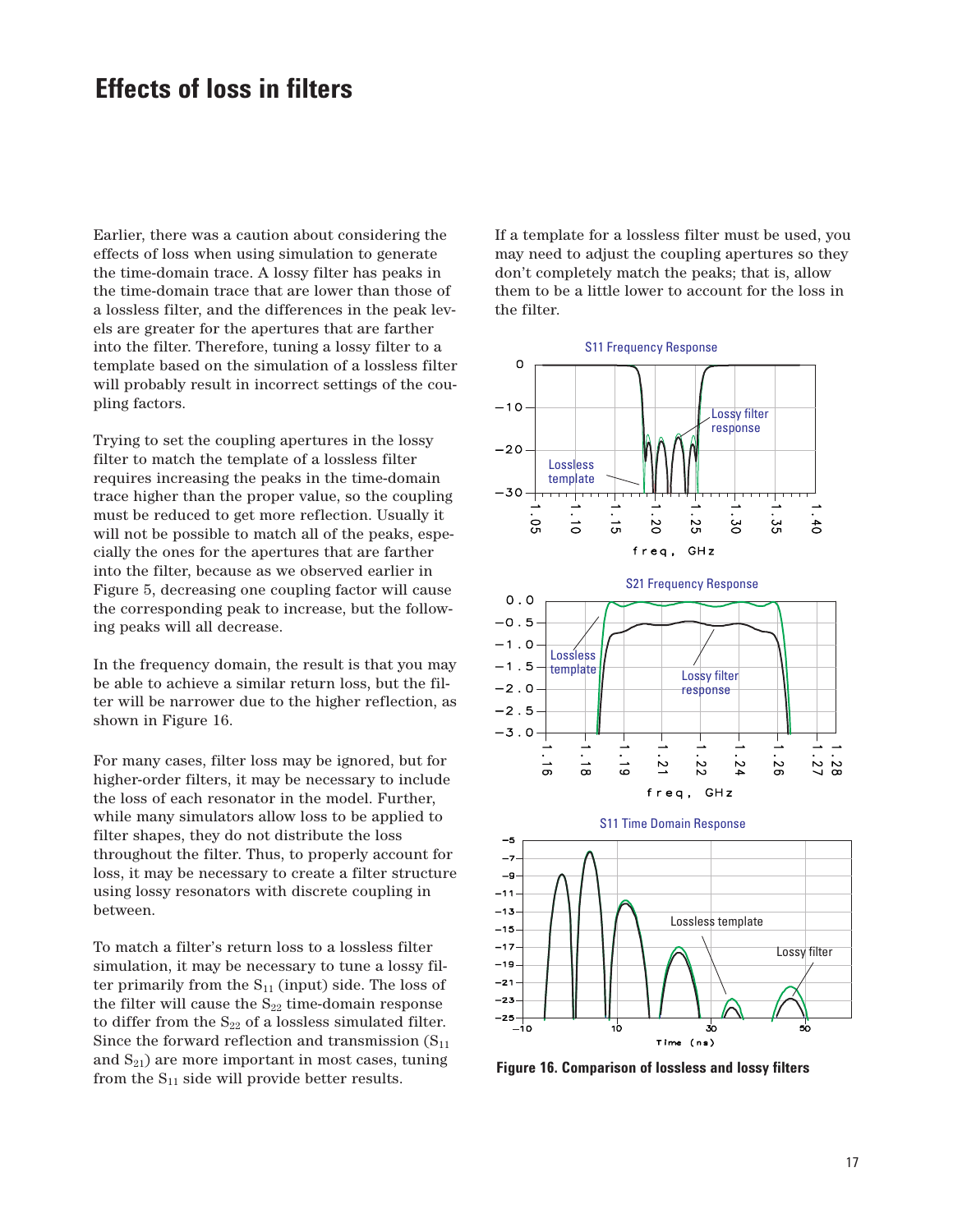## **Effects of loss in filters**

Earlier, there was a caution about considering the effects of loss when using simulation to generate the time-domain trace. A lossy filter has peaks in the time-domain trace that are lower than those of a lossless filter, and the differences in the peak levels are greater for the apertures that are farther into the filter. Therefore, tuning a lossy filter to a template based on the simulation of a lossless filter will probably result in incorrect settings of the coupling factors.

Trying to set the coupling apertures in the lossy filter to match the template of a lossless filter requires increasing the peaks in the time-domain trace higher than the proper value, so the coupling must be reduced to get more reflection. Usually it will not be possible to match all of the peaks, especially the ones for the apertures that are farther into the filter, because as we observed earlier in Figure 5, decreasing one coupling factor will cause the corresponding peak to increase, but the following peaks will all decrease.

In the frequency domain, the result is that you may be able to achieve a similar return loss, but the filter will be narrower due to the higher reflection, as shown in Figure 16.

For many cases, filter loss may be ignored, but for higher-order filters, it may be necessary to include the loss of each resonator in the model. Further, while many simulators allow loss to be applied to filter shapes, they do not distribute the loss throughout the filter. Thus, to properly account for loss, it may be necessary to create a filter structure using lossy resonators with discrete coupling in between.

To match a filter's return loss to a lossless filter simulation, it may be necessary to tune a lossy filter primarily from the  $S_{11}$  (input) side. The loss of the filter will cause the  $S_{22}$  time-domain response to differ from the  $\mathrm{S}_{22}$  of a lossless simulated filter. Since the forward reflection and transmission  $(S_{11})$ and  $S_{21}$ ) are more important in most cases, tuning from the  $S_{11}$  side will provide better results.

If a template for a lossless filter must be used, you may need to adjust the coupling apertures so they don't completely match the peaks; that is, allow them to be a little lower to account for the loss in the filter.





**Figure 16. Comparison of lossless and lossy filters**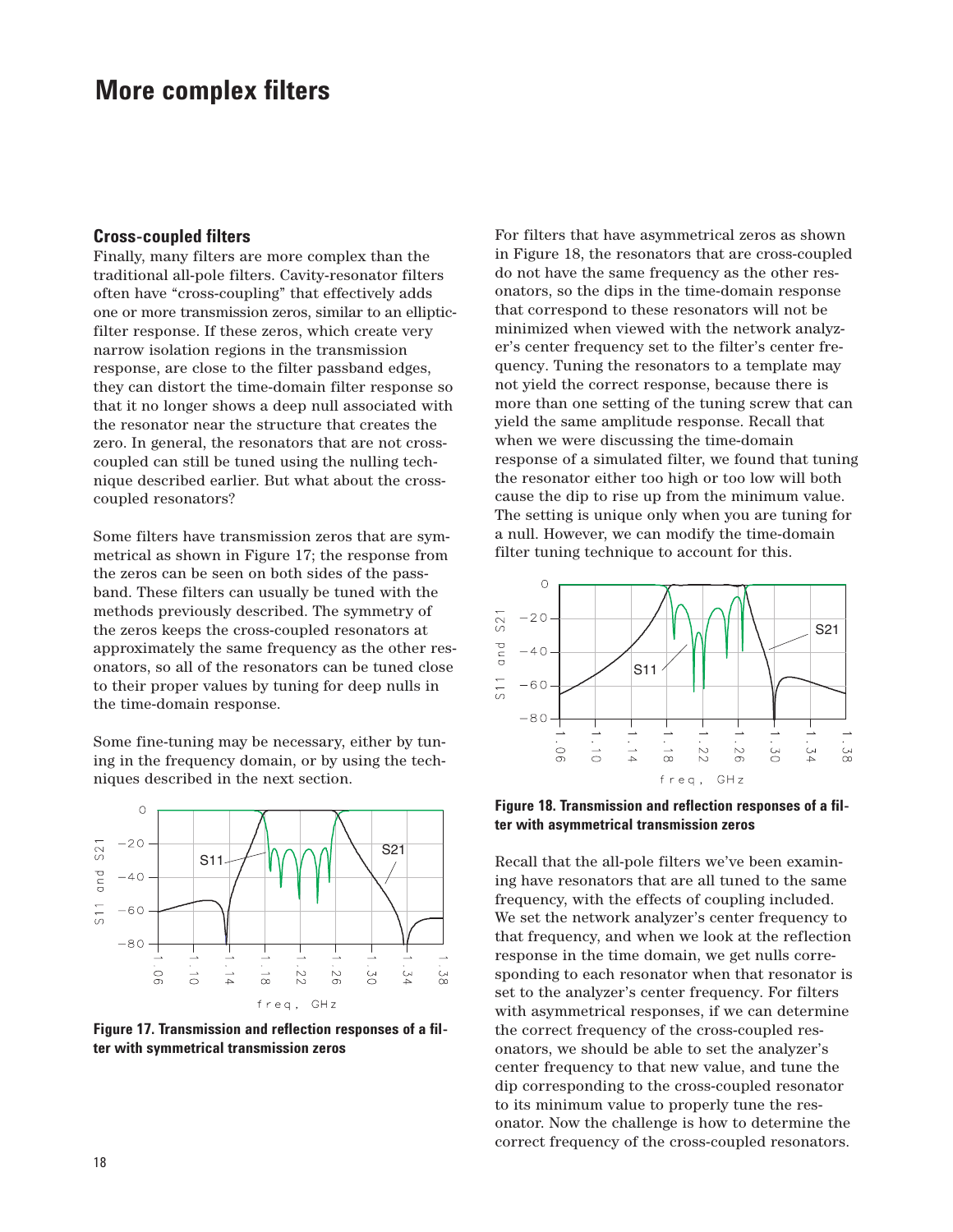## **More complex filters**

#### **Cross-coupled filters**

Finally, many filters are more complex than the traditional all-pole filters. Cavity-resonator filters often have "cross-coupling" that effectively adds one or more transmission zeros, similar to an ellipticfilter response. If these zeros, which create very narrow isolation regions in the transmission response, are close to the filter passband edges, they can distort the time-domain filter response so that it no longer shows a deep null associated with the resonator near the structure that creates the zero. In general, the resonators that are not crosscoupled can still be tuned using the nulling technique described earlier. But what about the crosscoupled resonators?

Some filters have transmission zeros that are symmetrical as shown in Figure 17; the response from the zeros can be seen on both sides of the passband. These filters can usually be tuned with the methods previously described. The symmetry of the zeros keeps the cross-coupled resonators at approximately the same frequency as the other resonators, so all of the resonators can be tuned close to their proper values by tuning for deep nulls in the time-domain response.

Some fine-tuning may be necessary, either by tuning in the frequency domain, or by using the techniques described in the next section.



**Figure 17. Transmission and reflection responses of a filter with symmetrical transmission zeros**

For filters that have asymmetrical zeros as shown in Figure 18, the resonators that are cross-coupled do not have the same frequency as the other resonators, so the dips in the time-domain response that correspond to these resonators will not be minimized when viewed with the network analyzer's center frequency set to the filter's center frequency. Tuning the resonators to a template may not yield the correct response, because there is more than one setting of the tuning screw that can yield the same amplitude response. Recall that when we were discussing the time-domain response of a simulated filter, we found that tuning the resonator either too high or too low will both cause the dip to rise up from the minimum value. The setting is unique only when you are tuning for a null. However, we can modify the time-domain filter tuning technique to account for this.



**Figure 18. Transmission and reflection responses of a filter with asymmetrical transmission zeros**

Recall that the all-pole filters we've been examining have resonators that are all tuned to the same frequency, with the effects of coupling included. We set the network analyzer's center frequency to that frequency, and when we look at the reflection response in the time domain, we get nulls corresponding to each resonator when that resonator is set to the analyzer's center frequency. For filters with asymmetrical responses, if we can determine the correct frequency of the cross-coupled resonators, we should be able to set the analyzer's center frequency to that new value, and tune the dip corresponding to the cross-coupled resonator to its minimum value to properly tune the resonator. Now the challenge is how to determine the correct frequency of the cross-coupled resonators.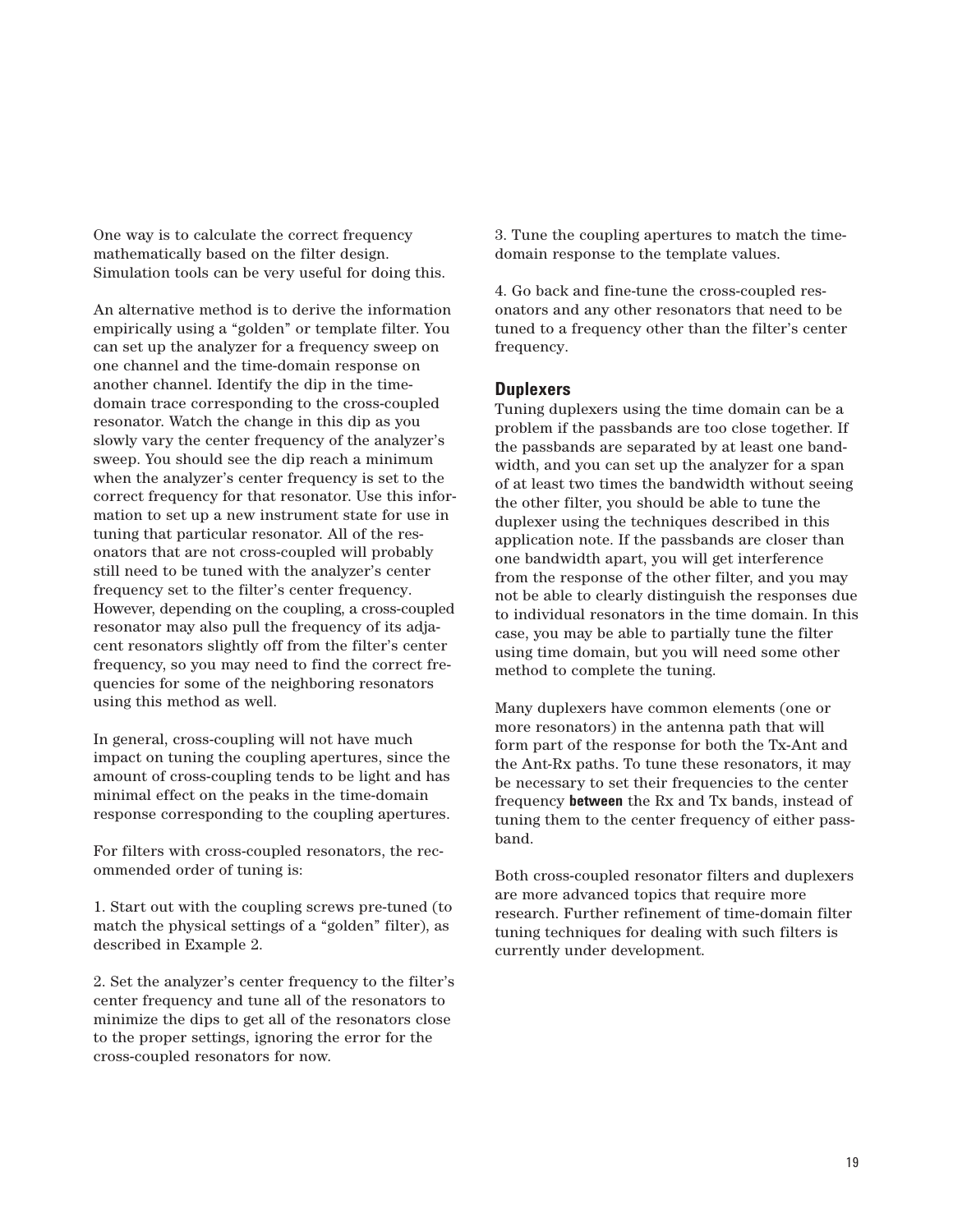One way is to calculate the correct frequency mathematically based on the filter design. Simulation tools can be very useful for doing this.

An alternative method is to derive the information empirically using a "golden" or template filter. You can set up the analyzer for a frequency sweep on one channel and the time-domain response on another channel. Identify the dip in the timedomain trace corresponding to the cross-coupled resonator. Watch the change in this dip as you slowly vary the center frequency of the analyzer's sweep. You should see the dip reach a minimum when the analyzer's center frequency is set to the correct frequency for that resonator. Use this information to set up a new instrument state for use in tuning that particular resonator. All of the resonators that are not cross-coupled will probably still need to be tuned with the analyzer's center frequency set to the filter's center frequency. However, depending on the coupling, a cross-coupled resonator may also pull the frequency of its adjacent resonators slightly off from the filter's center frequency, so you may need to find the correct frequencies for some of the neighboring resonators using this method as well.

In general, cross-coupling will not have much impact on tuning the coupling apertures, since the amount of cross-coupling tends to be light and has minimal effect on the peaks in the time-domain response corresponding to the coupling apertures.

For filters with cross-coupled resonators, the recommended order of tuning is:

1. Start out with the coupling screws pre-tuned (to match the physical settings of a "golden" filter), as described in Example 2.

2. Set the analyzer's center frequency to the filter's center frequency and tune all of the resonators to minimize the dips to get all of the resonators close to the proper settings, ignoring the error for the cross-coupled resonators for now.

3. Tune the coupling apertures to match the timedomain response to the template values.

4. Go back and fine-tune the cross-coupled resonators and any other resonators that need to be tuned to a frequency other than the filter's center frequency.

### **Duplexers**

Tuning duplexers using the time domain can be a problem if the passbands are too close together. If the passbands are separated by at least one bandwidth, and you can set up the analyzer for a span of at least two times the bandwidth without seeing the other filter, you should be able to tune the duplexer using the techniques described in this application note. If the passbands are closer than one bandwidth apart, you will get interference from the response of the other filter, and you may not be able to clearly distinguish the responses due to individual resonators in the time domain. In this case, you may be able to partially tune the filter using time domain, but you will need some other method to complete the tuning.

Many duplexers have common elements (one or more resonators) in the antenna path that will form part of the response for both the Tx-Ant and the Ant-Rx paths. To tune these resonators, it may be necessary to set their frequencies to the center frequency **between** the Rx and Tx bands, instead of tuning them to the center frequency of either passband.

Both cross-coupled resonator filters and duplexers are more advanced topics that require more research. Further refinement of time-domain filter tuning techniques for dealing with such filters is currently under development.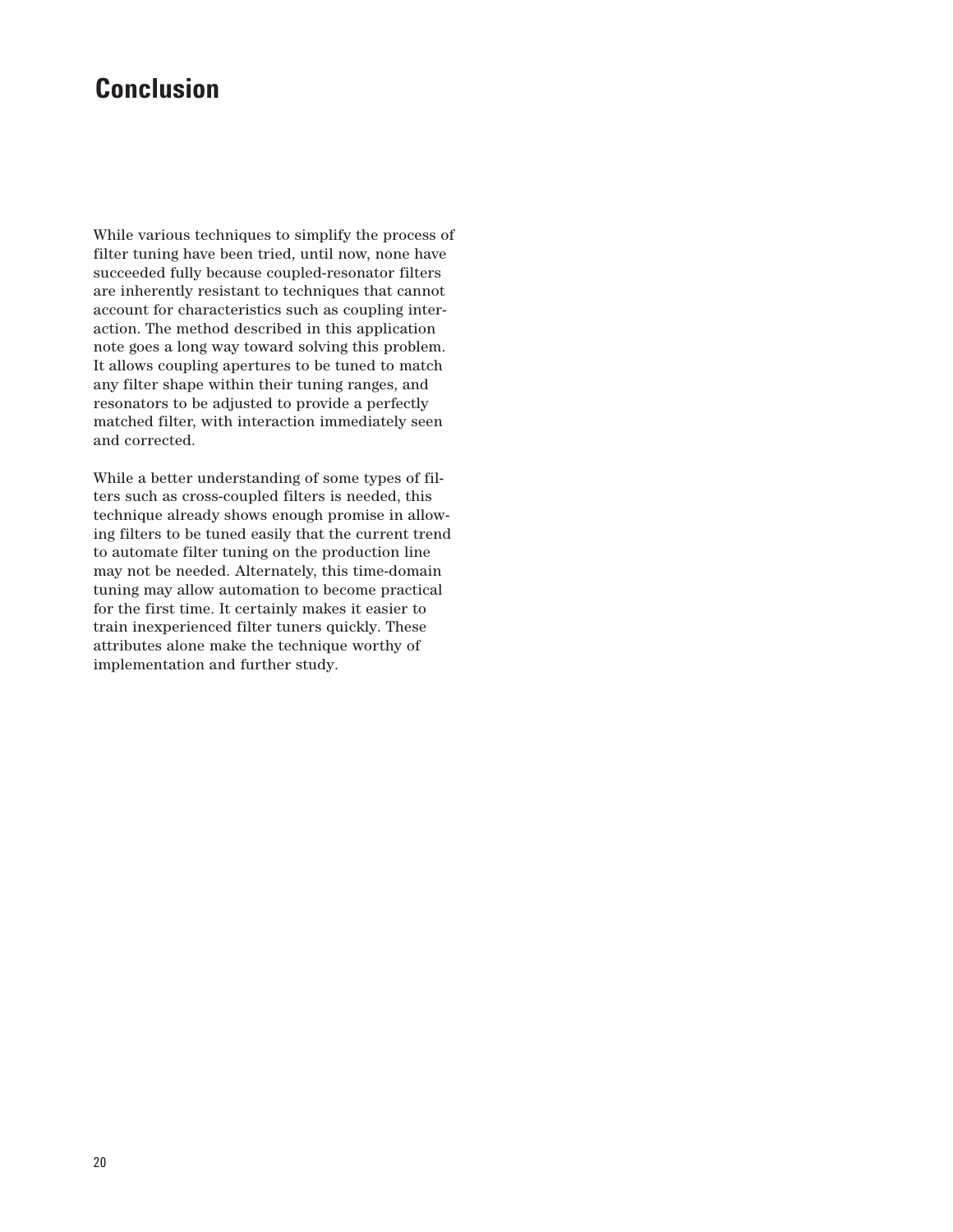# **Conclusion**

While various techniques to simplify the process of filter tuning have been tried, until now, none have succeeded fully because coupled-resonator filters are inherently resistant to techniques that cannot account for characteristics such as coupling interaction. The method described in this application note goes a long way toward solving this problem. It allows coupling apertures to be tuned to match any filter shape within their tuning ranges, and resonators to be adjusted to provide a perfectly matched filter, with interaction immediately seen and corrected.

While a better understanding of some types of filters such as cross-coupled filters is needed, this technique already shows enough promise in allowing filters to be tuned easily that the current trend to automate filter tuning on the production line may not be needed. Alternately, this time-domain tuning may allow automation to become practical for the first time. It certainly makes it easier to train inexperienced filter tuners quickly. These attributes alone make the technique worthy of implementation and further study.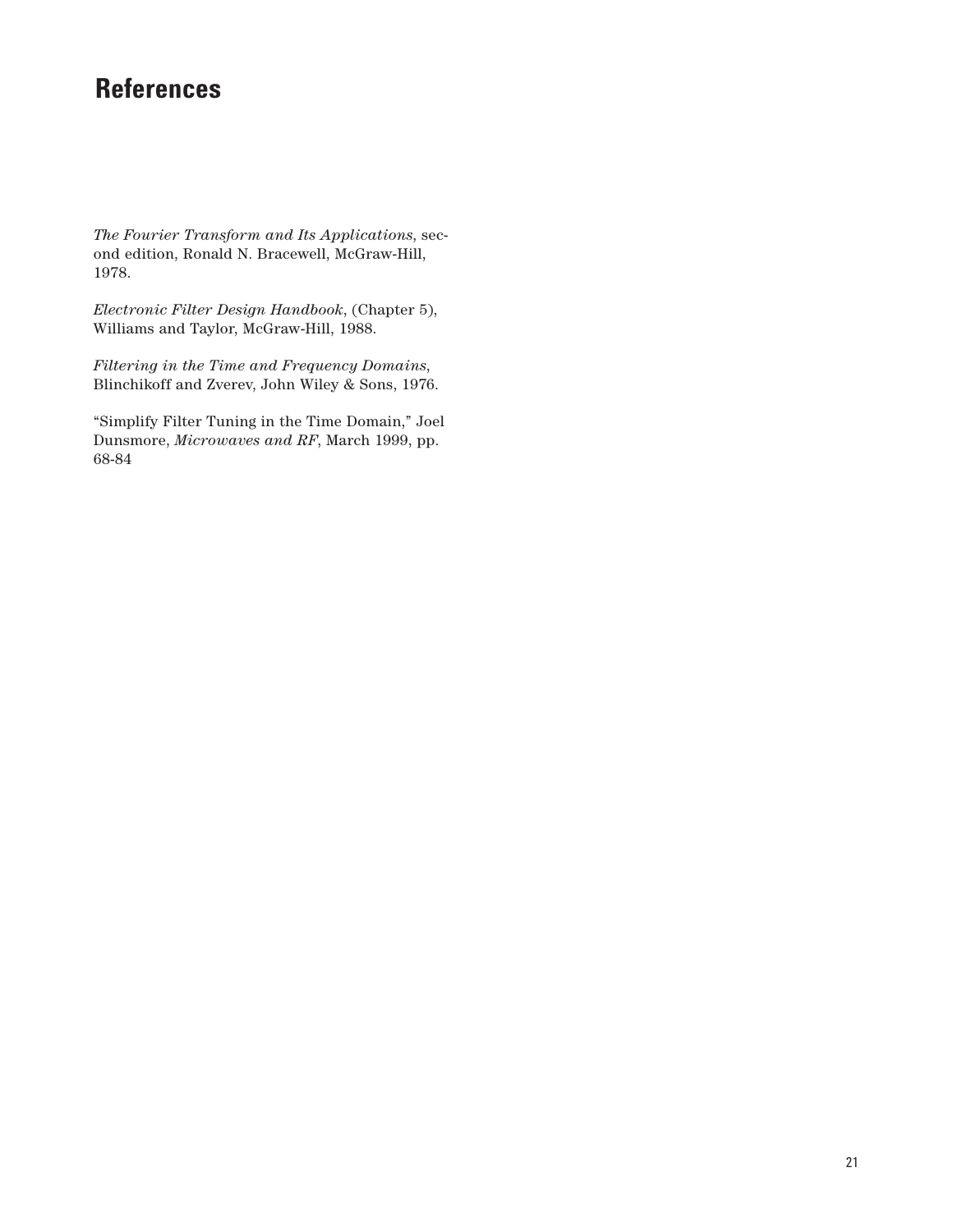# **References**

*The Fourier Transform and Its Applications*, second edition, Ronald N. Bracewell, McGraw-Hill, 1978.

*Electronic Filter Design Handbook*, (Chapter 5), Williams and Taylor, McGraw-Hill, 1988.

*Filtering in the Time and Frequency Domains*, Blinchikoff and Zverev, John Wiley & Sons, 1976.

"Simplify Filter Tuning in the Time Domain," Joel Dunsmore, *Microwaves and RF*, March 1999, pp. 68-84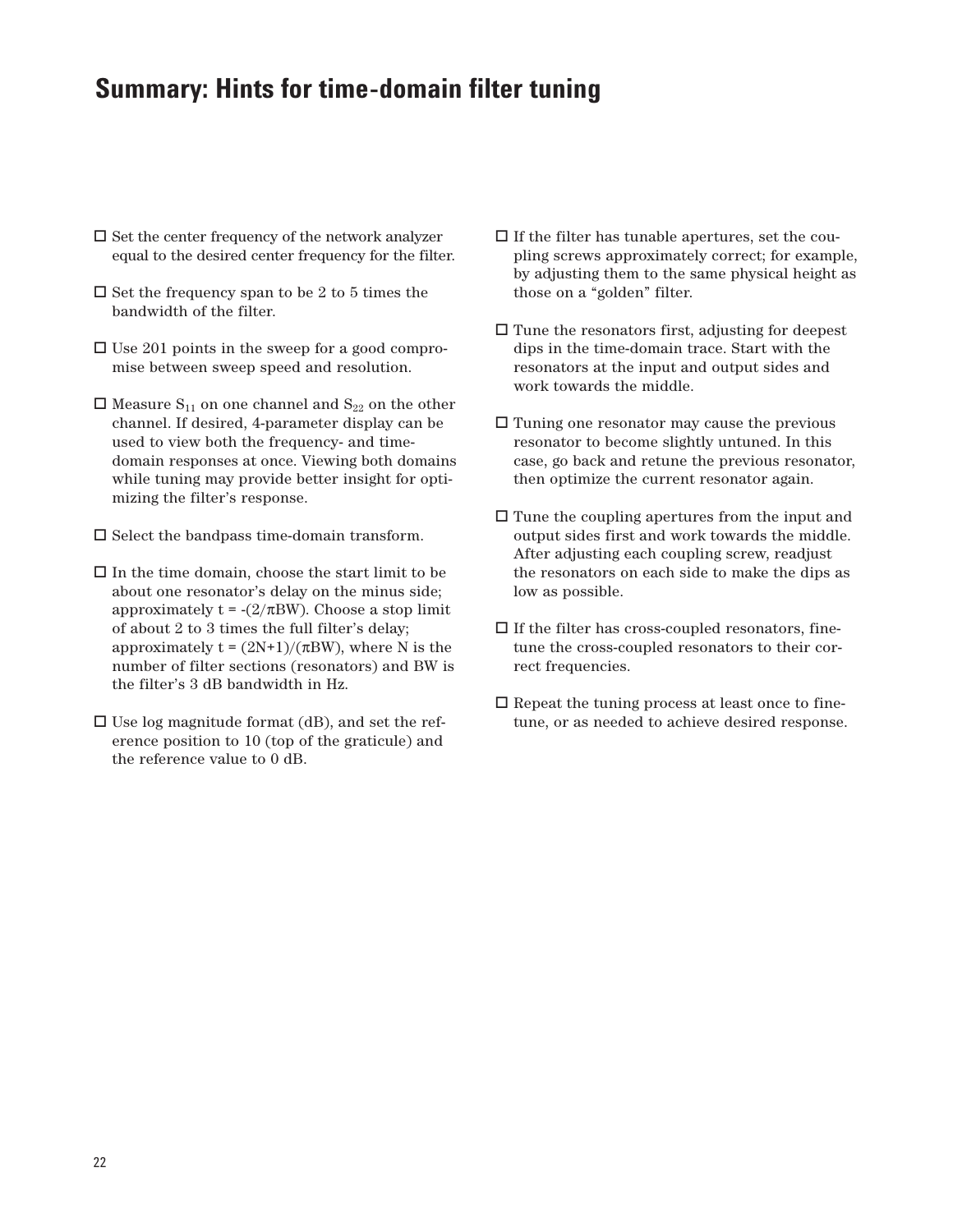# **Summary: Hints for time-domain filter tuning**

- $\square$  Set the center frequency of the network analyzer equal to the desired center frequency for the filter.
- $\square$  Set the frequency span to be 2 to 5 times the bandwidth of the filter.
- □ Use 201 points in the sweep for a good compromise between sweep speed and resolution.
- $\Box$  Measure S<sub>11</sub> on one channel and S<sub>22</sub> on the other channel. If desired, 4-parameter display can be used to view both the frequency- and timedomain responses at once. Viewing both domains while tuning may provide better insight for optimizing the filter's response.
- $\Box$  <br> Select the bandpass time-domain transform.
- $\Box$  In the time domain, choose the start limit to be about one resonator's delay on the minus side; approximately  $t = -(2/\pi BW)$ . Choose a stop limit of about 2 to 3 times the full filter's delay; approximately  $t = (2N+1)/(\pi BW)$ , where N is the number of filter sections (resonators) and BW is the filter's 3 dB bandwidth in Hz.
- $\square$  Use log magnitude format (dB), and set the reference position to 10 (top of the graticule) and the reference value to 0 dB.
- $\Box$  <br> If the filter has tunable apertures, set the coupling screws approximately correct; for example, by adjusting them to the same physical height as those on a "golden" filter.
- Tune the resonators first, adjusting for deepest dips in the time-domain trace. Start with the resonators at the input and output sides and work towards the middle.
- Tuning one resonator may cause the previous resonator to become slightly untuned. In this case, go back and retune the previous resonator, then optimize the current resonator again.
- $\square$  Tune the coupling apertures from the input and output sides first and work towards the middle. After adjusting each coupling screw, readjust the resonators on each side to make the dips as low as possible.
- $\Box$  <br> If the filter has cross-coupled resonators, finetune the cross-coupled resonators to their correct frequencies.
- $\Box$  Repeat the tuning process at least once to finetune, or as needed to achieve desired response.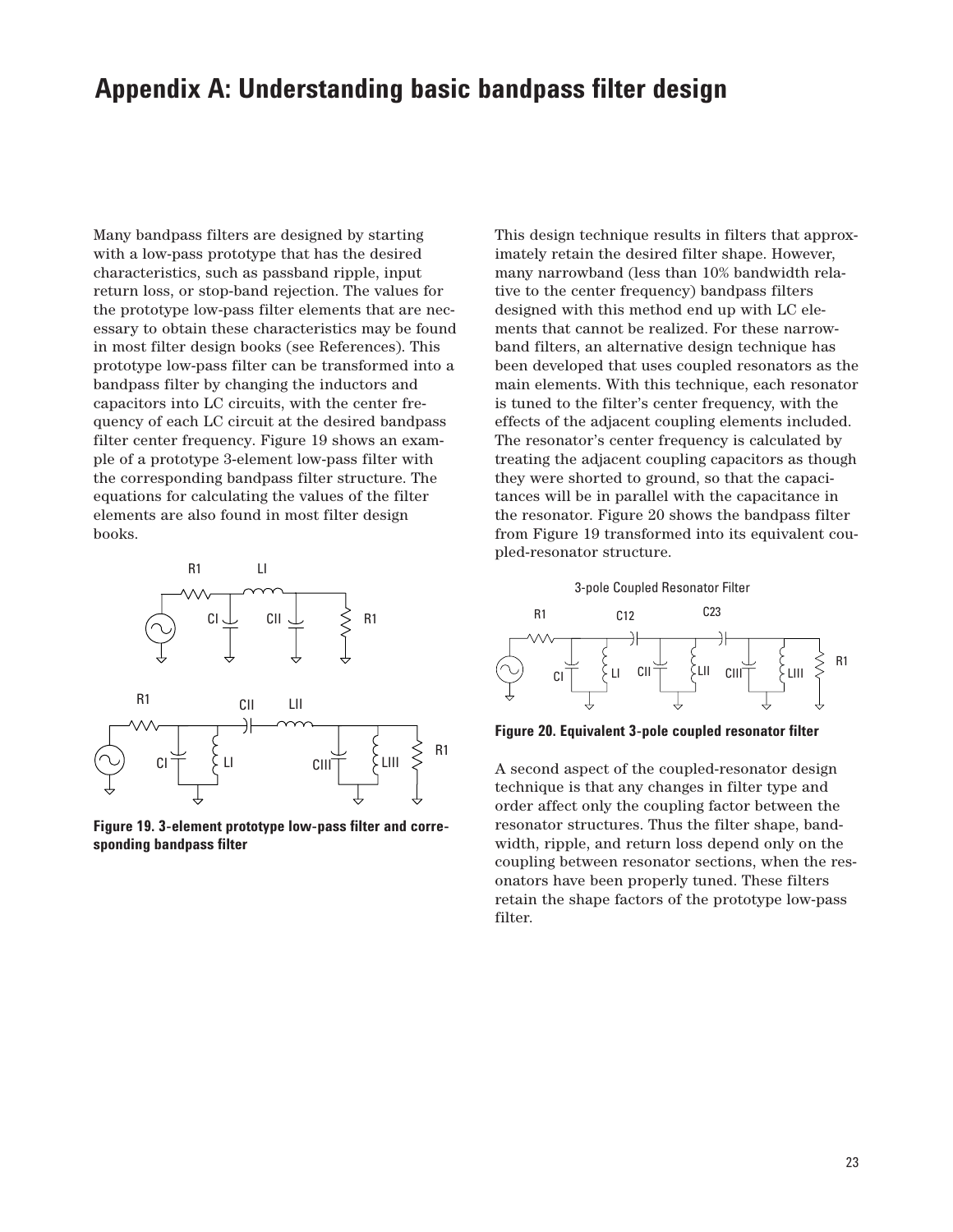## **Appendix A: Understanding basic bandpass filter design**

Many bandpass filters are designed by starting with a low-pass prototype that has the desired characteristics, such as passband ripple, input return loss, or stop-band rejection. The values for the prototype low-pass filter elements that are necessary to obtain these characteristics may be found in most filter design books (see References). This prototype low-pass filter can be transformed into a bandpass filter by changing the inductors and capacitors into LC circuits, with the center frequency of each LC circuit at the desired bandpass filter center frequency. Figure 19 shows an example of a prototype 3-element low-pass filter with the corresponding bandpass filter structure. The equations for calculating the values of the filter elements are also found in most filter design books.



**Figure 19. 3-element prototype low-pass filter and corresponding bandpass filter**

This design technique results in filters that approximately retain the desired filter shape. However, many narrowband (less than 10% bandwidth relative to the center frequency) bandpass filters designed with this method end up with LC elements that cannot be realized. For these narrowband filters, an alternative design technique has been developed that uses coupled resonators as the main elements. With this technique, each resonator is tuned to the filter's center frequency, with the effects of the adjacent coupling elements included. The resonator's center frequency is calculated by treating the adjacent coupling capacitors as though they were shorted to ground, so that the capacitances will be in parallel with the capacitance in the resonator. Figure 20 shows the bandpass filter from Figure 19 transformed into its equivalent coupled-resonator structure.



**Figure 20. Equivalent 3-pole coupled resonator filter**

A second aspect of the coupled-resonator design technique is that any changes in filter type and order affect only the coupling factor between the resonator structures. Thus the filter shape, bandwidth, ripple, and return loss depend only on the coupling between resonator sections, when the resonators have been properly tuned. These filters retain the shape factors of the prototype low-pass filter.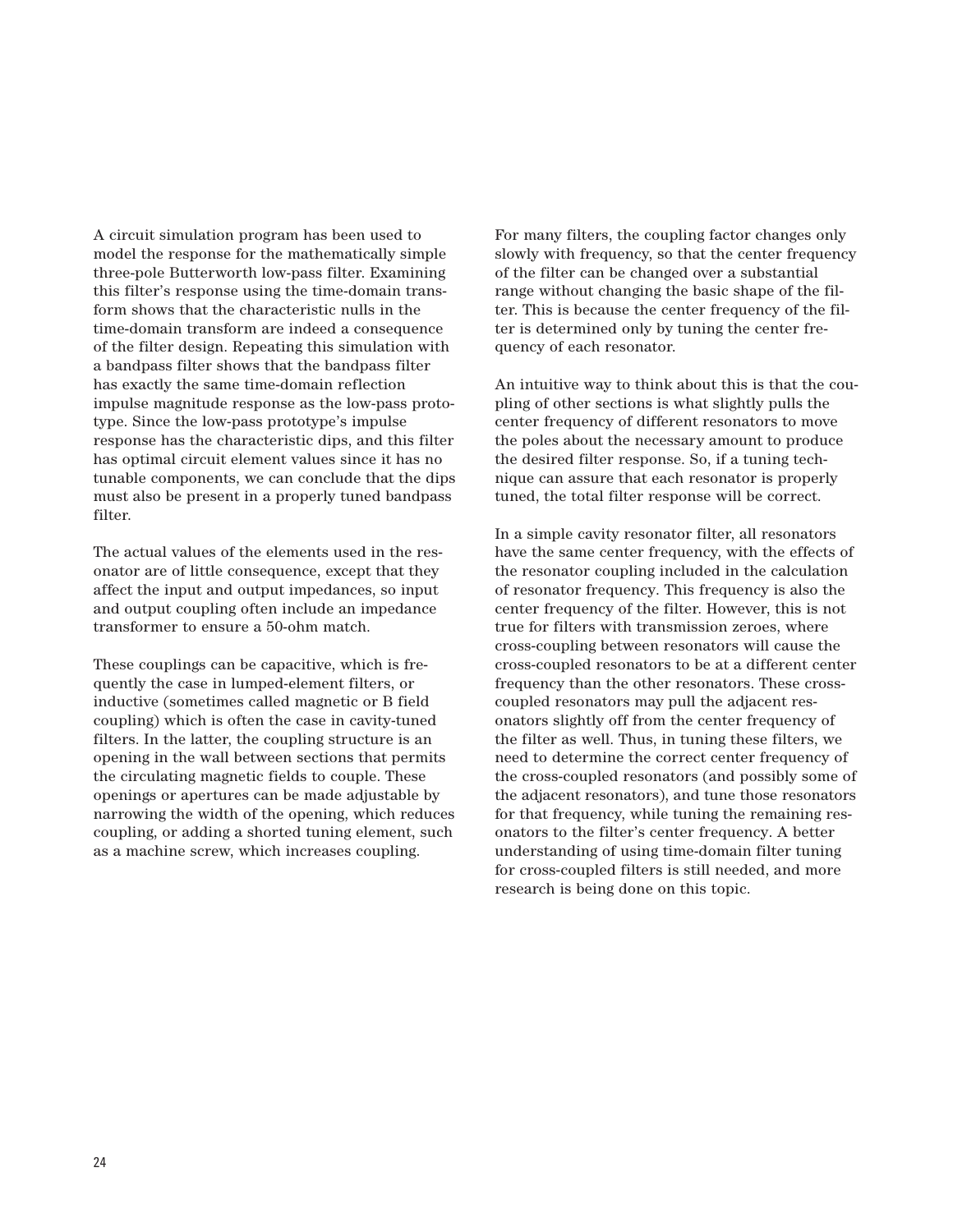A circuit simulation program has been used to model the response for the mathematically simple three-pole Butterworth low-pass filter. Examining this filter's response using the time-domain transform shows that the characteristic nulls in the time-domain transform are indeed a consequence of the filter design. Repeating this simulation with a bandpass filter shows that the bandpass filter has exactly the same time-domain reflection impulse magnitude response as the low-pass prototype. Since the low-pass prototype's impulse response has the characteristic dips, and this filter has optimal circuit element values since it has no tunable components, we can conclude that the dips must also be present in a properly tuned bandpass filter.

The actual values of the elements used in the resonator are of little consequence, except that they affect the input and output impedances, so input and output coupling often include an impedance transformer to ensure a 50-ohm match.

These couplings can be capacitive, which is frequently the case in lumped-element filters, or inductive (sometimes called magnetic or B field coupling) which is often the case in cavity-tuned filters. In the latter, the coupling structure is an opening in the wall between sections that permits the circulating magnetic fields to couple. These openings or apertures can be made adjustable by narrowing the width of the opening, which reduces coupling, or adding a shorted tuning element, such as a machine screw, which increases coupling.

For many filters, the coupling factor changes only slowly with frequency, so that the center frequency of the filter can be changed over a substantial range without changing the basic shape of the filter. This is because the center frequency of the filter is determined only by tuning the center frequency of each resonator.

An intuitive way to think about this is that the coupling of other sections is what slightly pulls the center frequency of different resonators to move the poles about the necessary amount to produce the desired filter response. So, if a tuning technique can assure that each resonator is properly tuned, the total filter response will be correct.

In a simple cavity resonator filter, all resonators have the same center frequency, with the effects of the resonator coupling included in the calculation of resonator frequency. This frequency is also the center frequency of the filter. However, this is not true for filters with transmission zeroes, where cross-coupling between resonators will cause the cross-coupled resonators to be at a different center frequency than the other resonators. These crosscoupled resonators may pull the adjacent resonators slightly off from the center frequency of the filter as well. Thus, in tuning these filters, we need to determine the correct center frequency of the cross-coupled resonators (and possibly some of the adjacent resonators), and tune those resonators for that frequency, while tuning the remaining resonators to the filter's center frequency. A better understanding of using time-domain filter tuning for cross-coupled filters is still needed, and more research is being done on this topic.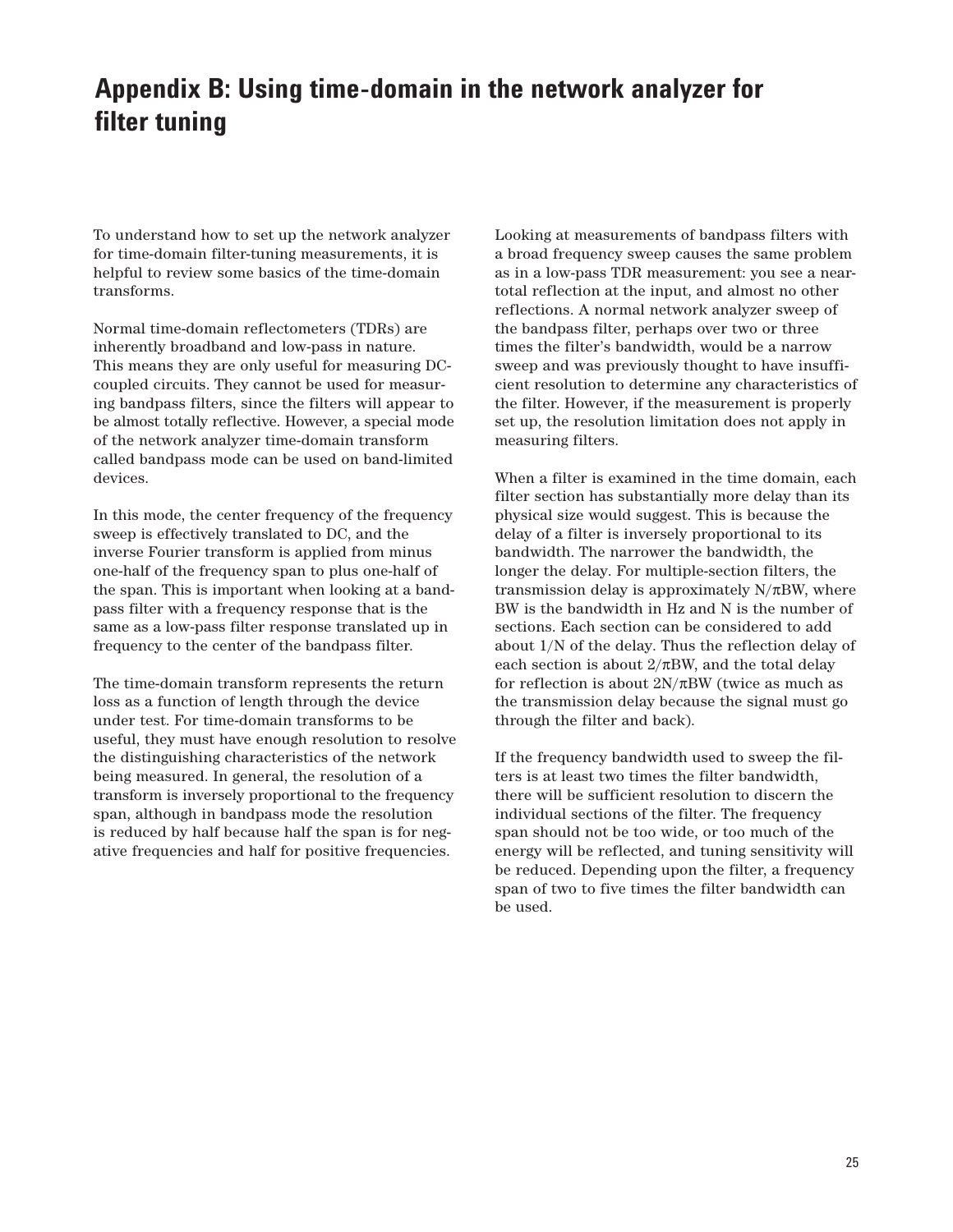# **Appendix B: Using time-domain in the network analyzer for filter tuning**

To understand how to set up the network analyzer for time-domain filter-tuning measurements, it is helpful to review some basics of the time-domain transforms.

Normal time-domain reflectometers (TDRs) are inherently broadband and low-pass in nature. This means they are only useful for measuring DCcoupled circuits. They cannot be used for measuring bandpass filters, since the filters will appear to be almost totally reflective. However, a special mode of the network analyzer time-domain transform called bandpass mode can be used on band-limited devices.

In this mode, the center frequency of the frequency sweep is effectively translated to DC, and the inverse Fourier transform is applied from minus one-half of the frequency span to plus one-half of the span. This is important when looking at a bandpass filter with a frequency response that is the same as a low-pass filter response translated up in frequency to the center of the bandpass filter.

The time-domain transform represents the return loss as a function of length through the device under test. For time-domain transforms to be useful, they must have enough resolution to resolve the distinguishing characteristics of the network being measured. In general, the resolution of a transform is inversely proportional to the frequency span, although in bandpass mode the resolution is reduced by half because half the span is for negative frequencies and half for positive frequencies.

Looking at measurements of bandpass filters with a broad frequency sweep causes the same problem as in a low-pass TDR measurement: you see a neartotal reflection at the input, and almost no other reflections. A normal network analyzer sweep of the bandpass filter, perhaps over two or three times the filter's bandwidth, would be a narrow sweep and was previously thought to have insufficient resolution to determine any characteristics of the filter. However, if the measurement is properly set up, the resolution limitation does not apply in measuring filters.

When a filter is examined in the time domain, each filter section has substantially more delay than its physical size would suggest. This is because the delay of a filter is inversely proportional to its bandwidth. The narrower the bandwidth, the longer the delay. For multiple-section filters, the transmission delay is approximately  $N/\pi BW$ , where BW is the bandwidth in Hz and N is the number of sections. Each section can be considered to add about 1/N of the delay. Thus the reflection delay of each section is about  $2/\pi BW$ , and the total delay for reflection is about  $2N/\pi BW$  (twice as much as the transmission delay because the signal must go through the filter and back).

If the frequency bandwidth used to sweep the filters is at least two times the filter bandwidth, there will be sufficient resolution to discern the individual sections of the filter. The frequency span should not be too wide, or too much of the energy will be reflected, and tuning sensitivity will be reduced. Depending upon the filter, a frequency span of two to five times the filter bandwidth can be used.